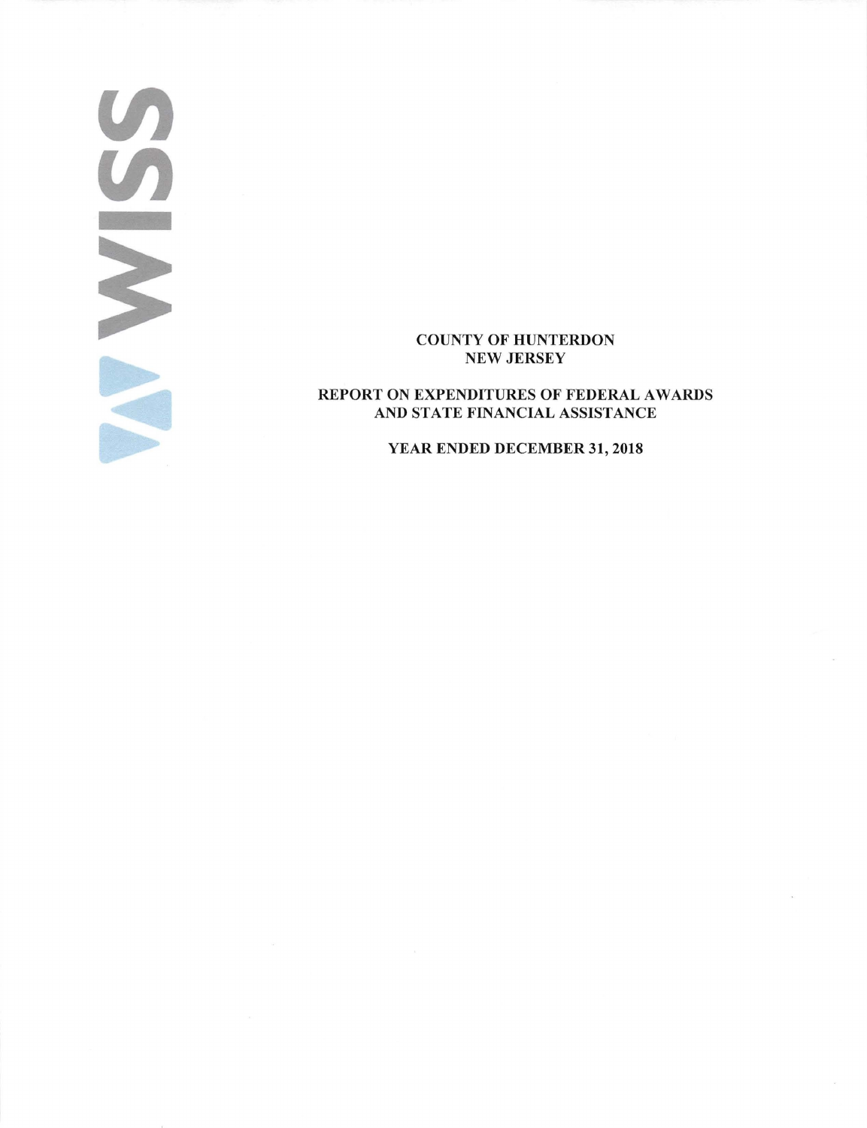### COUNTY OF HUNTERDON NEW JERSEY

(/)

 $\overline{U}$ 

-

REPORT ON EXPENDITURES OF FEDERAL AWARDS AND STATE FINANCIAL ASSISTANCE

### YEAR ENDED DECEMBER 31, 2018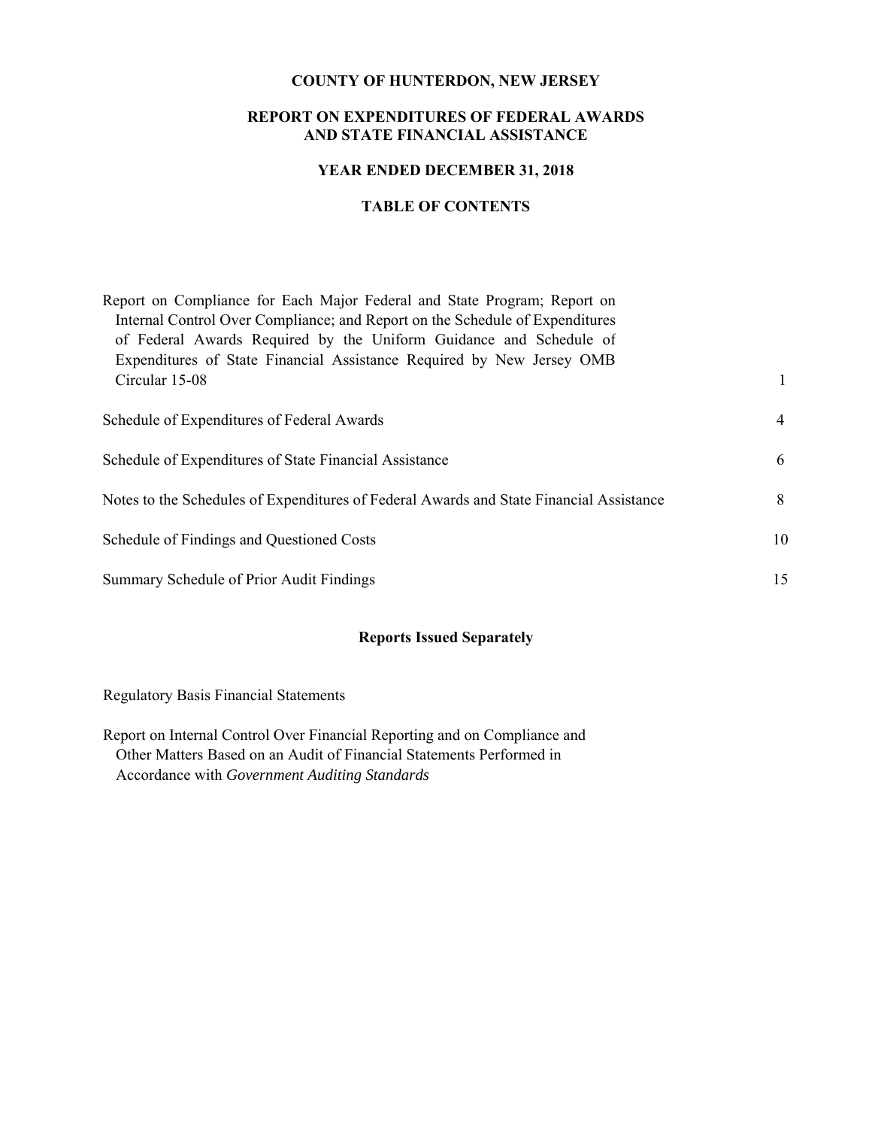### **COUNTY OF HUNTERDON, NEW JERSEY**

### **REPORT ON EXPENDITURES OF FEDERAL AWARDS AND STATE FINANCIAL ASSISTANCE**

### **YEAR ENDED DECEMBER 31, 2018**

## **TABLE OF CONTENTS**

| Report on Compliance for Each Major Federal and State Program; Report on<br>Internal Control Over Compliance; and Report on the Schedule of Expenditures<br>of Federal Awards Required by the Uniform Guidance and Schedule of<br>Expenditures of State Financial Assistance Required by New Jersey OMB |              |
|---------------------------------------------------------------------------------------------------------------------------------------------------------------------------------------------------------------------------------------------------------------------------------------------------------|--------------|
| Circular 15-08                                                                                                                                                                                                                                                                                          | $\mathbf{1}$ |
| Schedule of Expenditures of Federal Awards                                                                                                                                                                                                                                                              | 4            |
| Schedule of Expenditures of State Financial Assistance                                                                                                                                                                                                                                                  | 6            |
| Notes to the Schedules of Expenditures of Federal Awards and State Financial Assistance                                                                                                                                                                                                                 | 8            |
| Schedule of Findings and Questioned Costs                                                                                                                                                                                                                                                               | 10           |
| Summary Schedule of Prior Audit Findings                                                                                                                                                                                                                                                                | 15           |

# **Reports Issued Separately**

Regulatory Basis Financial Statements

Report on Internal Control Over Financial Reporting and on Compliance and Other Matters Based on an Audit of Financial Statements Performed in Accordance with *Government Auditing Standards*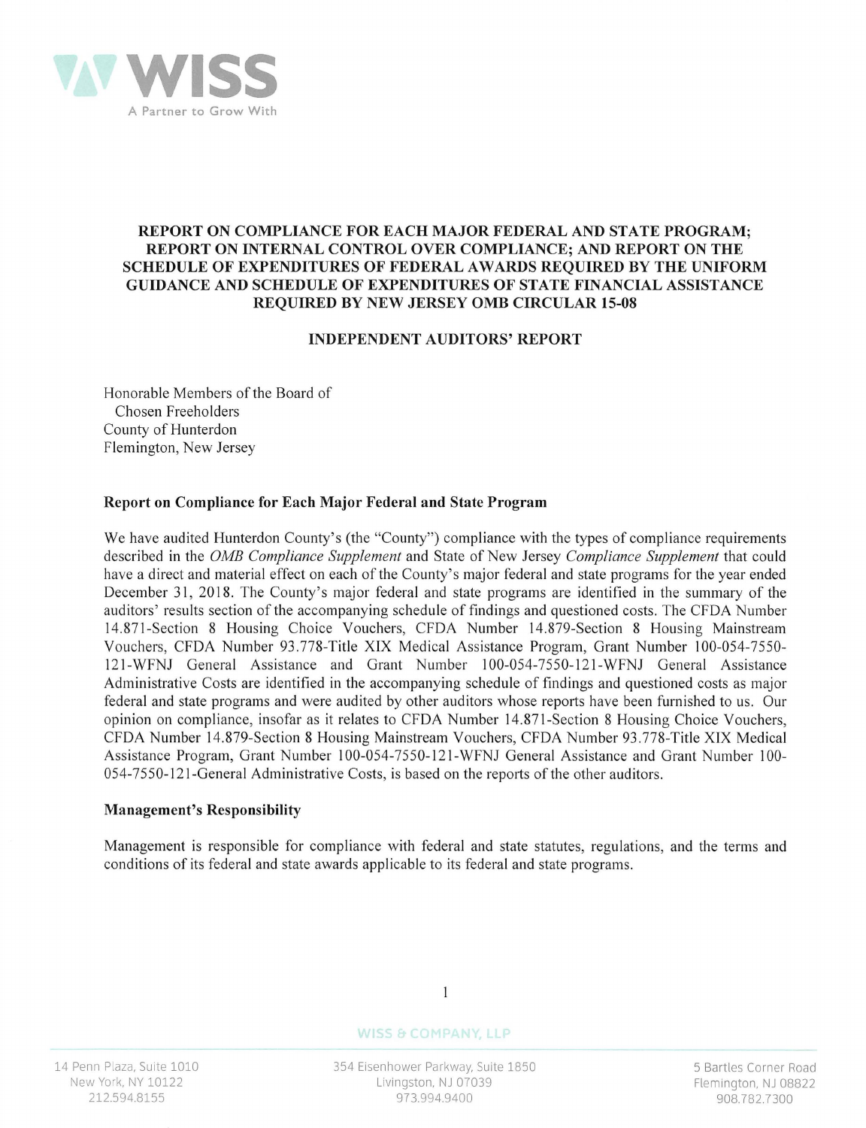

### **REPORT ON COMPLIANCE FOR EACH MAJOR FEDERAL AND STATE PROGRAM; REPORT ON INTERNAL CONTROL OVER COMPLIANCE; AND REPORT ON THE SCHEDULE OF EXPENDITURES OF FEDERAL AW ARDS REQUIRED BY THE UNIFORM GUIDANCE AND SCHEDULE OF EXPENDITURES OF STATE FINANCIAL ASSISTANCE REQUIRED BY NEW JERSEY 0MB CIRCULAR 15-08**

### **INDEPENDENT AUDITORS' REPORT**

Honorable Members of the Board of Chosen Freeholders County of Hunterdon Flemington, New Jersey

## **Report on Compliance for Each Major Federal and State Program**

We have audited Hunterdon County's (the "County") compliance with the types of compliance requirements described in the *0MB Compliance Supplement* and State of New Jersey *Compliance Supplement* that could have a direct and material effect on each of the County's major federal and state programs for the year ended December 31, 2018. The County's major federal and state programs are identified in the summary of the auditors' results section of the accompanying schedule of findings and questioned costs. The CFDA Number 14.871-Section 8 Housing Choice Vouchers, CFDA Number 14.879-Section 8 Housing Mainstream Vouchers, CFDA Number 93.778-Title XIX Medical Assistance Program, Grant Number 100-054-7550- 121-WFNJ General Assistance and Grant Number 100-054-7550-121-WFNJ General Assistance Administrative Costs are identified in the accompanying schedule of findings and questioned costs as major federal and state programs and were audited by other auditors whose reports have been furnished to us. Our opinion on compliance, insofar as it relates to CFDA Number 14.871-Section 8 Housing Choice Vouchers, CFDA Number 14.879-Section 8 Housing Mainstream Vouchers, CFDA Number 93.778-Title XIX Medical Assistance Program, Grant Number 100-054-7550-121-WFNJ General Assistance and Grant Number 100- 054-7550-121-General Administrative Costs, is based on the reports of the other auditors.

### **Management's Responsibility**

Management is responsible for compliance with federal and state statutes, regulations, and the terms and conditions of its federal and state awards applicable to its federal and state programs.

14 Penn Plaza, Suite 1010 New York, NY 10122 212.594.8155

**WISS & COMPANY, LLP** 

 $\mathbf{1}$ 

354 Eisenhower Parkway, Suite 1850 Livingston, NJ 07039 973.994.9400

5 Bartles Corner Road Flemington, NJ 08822 908.782.7300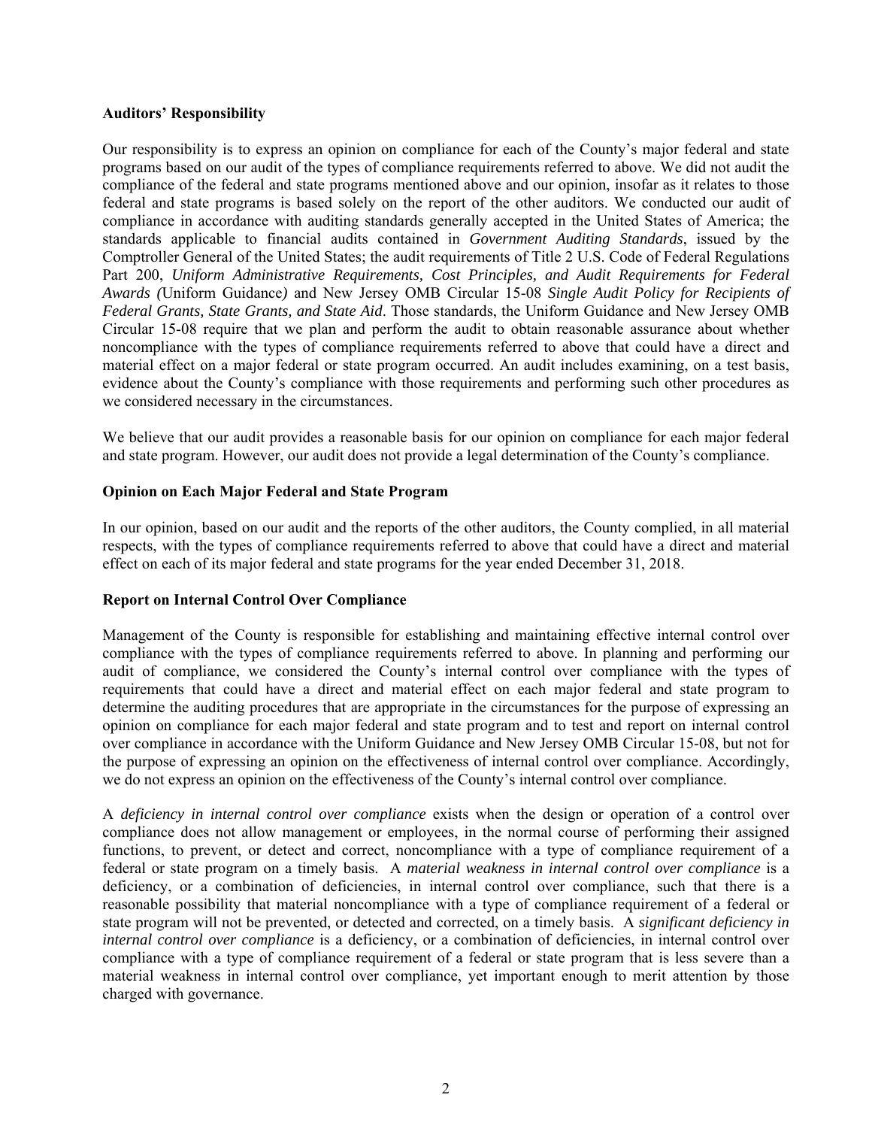### **Auditors' Responsibility**

Our responsibility is to express an opinion on compliance for each of the County's major federal and state programs based on our audit of the types of compliance requirements referred to above. We did not audit the compliance of the federal and state programs mentioned above and our opinion, insofar as it relates to those federal and state programs is based solely on the report of the other auditors. We conducted our audit of compliance in accordance with auditing standards generally accepted in the United States of America; the standards applicable to financial audits contained in *Government Auditing Standards*, issued by the Comptroller General of the United States; the audit requirements of Title 2 U.S. Code of Federal Regulations Part 200, *Uniform Administrative Requirements, Cost Principles, and Audit Requirements for Federal Awards (*Uniform Guidance*)* and New Jersey OMB Circular 15-08 *Single Audit Policy for Recipients of Federal Grants, State Grants, and State Aid*. Those standards, the Uniform Guidance and New Jersey OMB Circular 15-08 require that we plan and perform the audit to obtain reasonable assurance about whether noncompliance with the types of compliance requirements referred to above that could have a direct and material effect on a major federal or state program occurred. An audit includes examining, on a test basis, evidence about the County's compliance with those requirements and performing such other procedures as we considered necessary in the circumstances.

We believe that our audit provides a reasonable basis for our opinion on compliance for each major federal and state program. However, our audit does not provide a legal determination of the County's compliance.

### **Opinion on Each Major Federal and State Program**

In our opinion, based on our audit and the reports of the other auditors, the County complied, in all material respects, with the types of compliance requirements referred to above that could have a direct and material effect on each of its major federal and state programs for the year ended December 31, 2018.

### **Report on Internal Control Over Compliance**

Management of the County is responsible for establishing and maintaining effective internal control over compliance with the types of compliance requirements referred to above. In planning and performing our audit of compliance, we considered the County's internal control over compliance with the types of requirements that could have a direct and material effect on each major federal and state program to determine the auditing procedures that are appropriate in the circumstances for the purpose of expressing an opinion on compliance for each major federal and state program and to test and report on internal control over compliance in accordance with the Uniform Guidance and New Jersey OMB Circular 15-08, but not for the purpose of expressing an opinion on the effectiveness of internal control over compliance. Accordingly, we do not express an opinion on the effectiveness of the County's internal control over compliance.

A *deficiency in internal control over compliance* exists when the design or operation of a control over compliance does not allow management or employees, in the normal course of performing their assigned functions, to prevent, or detect and correct, noncompliance with a type of compliance requirement of a federal or state program on a timely basis. A *material weakness in internal control over compliance* is a deficiency, or a combination of deficiencies, in internal control over compliance, such that there is a reasonable possibility that material noncompliance with a type of compliance requirement of a federal or state program will not be prevented, or detected and corrected, on a timely basis. A *significant deficiency in internal control over compliance* is a deficiency, or a combination of deficiencies, in internal control over compliance with a type of compliance requirement of a federal or state program that is less severe than a material weakness in internal control over compliance, yet important enough to merit attention by those charged with governance.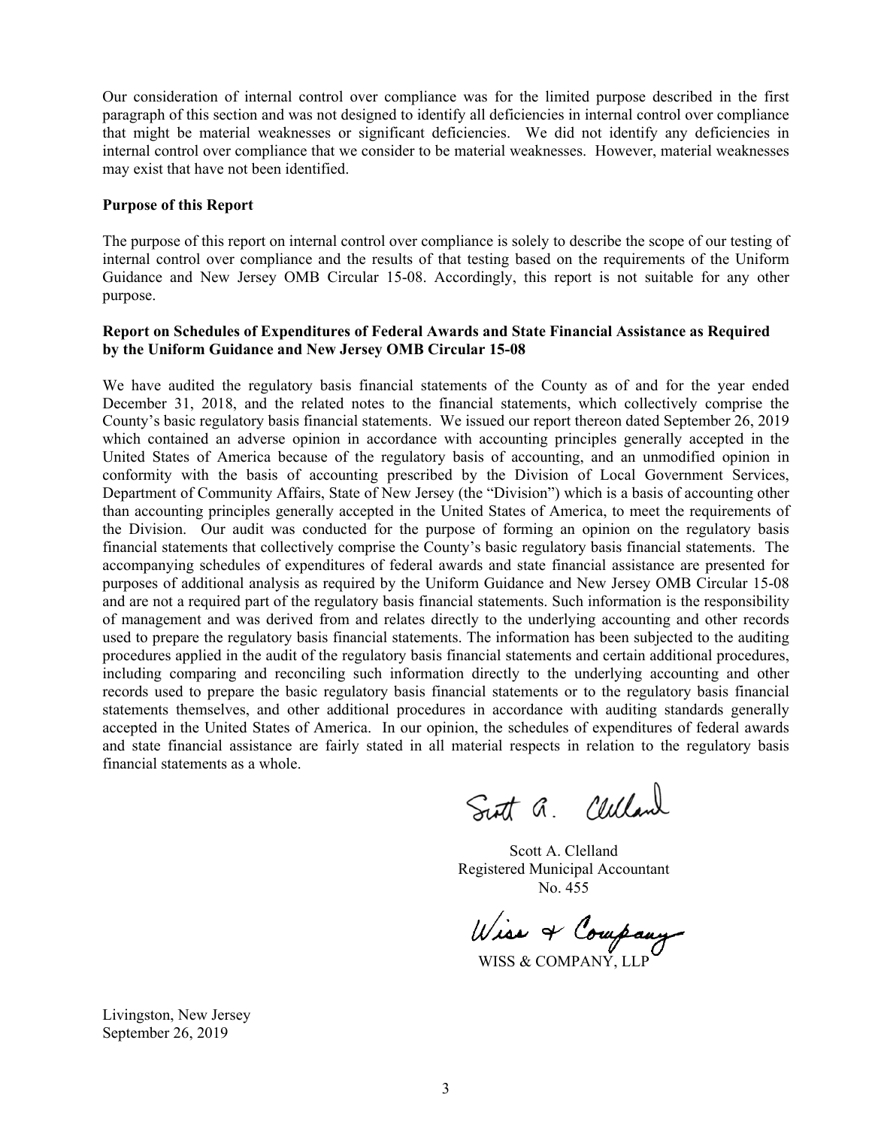Our consideration of internal control over compliance was for the limited purpose described in the first paragraph of this section and was not designed to identify all deficiencies in internal control over compliance that might be material weaknesses or significant deficiencies. We did not identify any deficiencies in internal control over compliance that we consider to be material weaknesses. However, material weaknesses may exist that have not been identified.

### **Purpose of this Report**

The purpose of this report on internal control over compliance is solely to describe the scope of our testing of internal control over compliance and the results of that testing based on the requirements of the Uniform Guidance and New Jersey OMB Circular 15-08. Accordingly, this report is not suitable for any other purpose.

### **Report on Schedules of Expenditures of Federal Awards and State Financial Assistance as Required by the Uniform Guidance and New Jersey OMB Circular 15-08**

We have audited the regulatory basis financial statements of the County as of and for the year ended December 31, 2018, and the related notes to the financial statements, which collectively comprise the County's basic regulatory basis financial statements. We issued our report thereon dated September 26, 2019 which contained an adverse opinion in accordance with accounting principles generally accepted in the United States of America because of the regulatory basis of accounting, and an unmodified opinion in conformity with the basis of accounting prescribed by the Division of Local Government Services, Department of Community Affairs, State of New Jersey (the "Division") which is a basis of accounting other than accounting principles generally accepted in the United States of America, to meet the requirements of the Division. Our audit was conducted for the purpose of forming an opinion on the regulatory basis financial statements that collectively comprise the County's basic regulatory basis financial statements. The accompanying schedules of expenditures of federal awards and state financial assistance are presented for purposes of additional analysis as required by the Uniform Guidance and New Jersey OMB Circular 15-08 and are not a required part of the regulatory basis financial statements. Such information is the responsibility of management and was derived from and relates directly to the underlying accounting and other records used to prepare the regulatory basis financial statements. The information has been subjected to the auditing procedures applied in the audit of the regulatory basis financial statements and certain additional procedures, including comparing and reconciling such information directly to the underlying accounting and other records used to prepare the basic regulatory basis financial statements or to the regulatory basis financial statements themselves, and other additional procedures in accordance with auditing standards generally accepted in the United States of America. In our opinion, the schedules of expenditures of federal awards and state financial assistance are fairly stated in all material respects in relation to the regulatory basis financial statements as a whole.

Sutt a. Celland

Scott A. Clelland Registered Municipal Accountant No. 455

Wiss & Company

Livingston, New Jersey September 26, 2019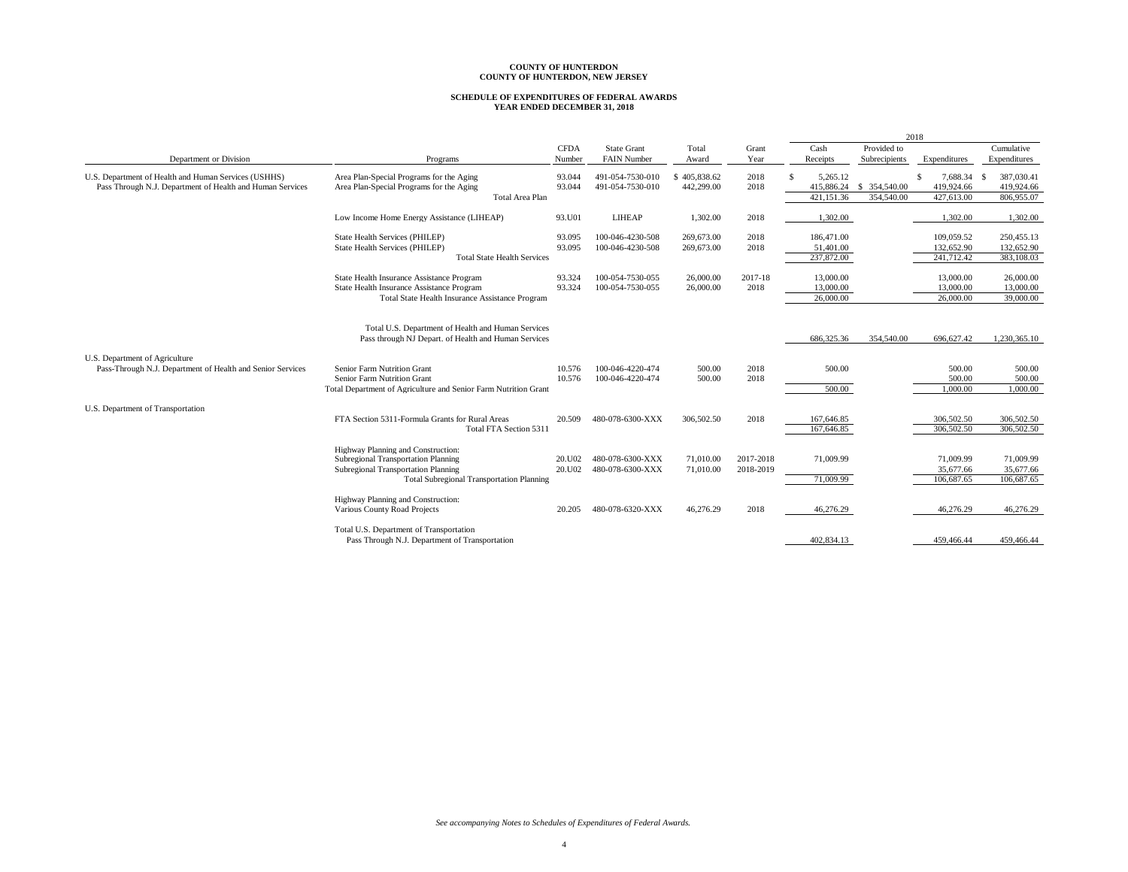# **SCHEDULE OF EXPENDITURES OF FEDERAL AWARDS YEAR ENDED DECEMBER 31, 2018**

|                                                                                                                   |                                                                                                                                                                      |                       |                                          |                            |                        |                                       |                              | 2018                                        |                                                |
|-------------------------------------------------------------------------------------------------------------------|----------------------------------------------------------------------------------------------------------------------------------------------------------------------|-----------------------|------------------------------------------|----------------------------|------------------------|---------------------------------------|------------------------------|---------------------------------------------|------------------------------------------------|
| Department or Division                                                                                            | Programs                                                                                                                                                             | <b>CFDA</b><br>Number | <b>State Grant</b><br><b>FAIN Number</b> | Total<br>Award             | Grant<br>Year          | Cash<br>Receipts                      | Provided to<br>Subrecipients | Expenditures                                | Cumulative<br>Expenditures                     |
| U.S. Department of Health and Human Services (USHHS)<br>Pass Through N.J. Department of Health and Human Services | Area Plan-Special Programs for the Aging<br>Area Plan-Special Programs for the Aging<br><b>Total Area Plan</b>                                                       | 93.044<br>93.044      | 491-054-7530-010<br>491-054-7530-010     | \$405,838.62<br>442,299.00 | 2018<br>2018           | 5,265.12<br>415,886.24<br>421.151.36  | \$ 354,540.00<br>354,540.00  | \$.<br>7,688.34<br>419.924.66<br>427,613.00 | 387,030.41<br>- \$<br>419,924.66<br>806,955.07 |
|                                                                                                                   | Low Income Home Energy Assistance (LIHEAP)                                                                                                                           | 93.U01                | <b>LIHEAP</b>                            | 1.302.00                   | 2018                   | 1,302.00                              |                              | 1.302.00                                    | 1,302.00                                       |
|                                                                                                                   | State Health Services (PHILEP)<br>State Health Services (PHILEP)<br><b>Total State Health Services</b>                                                               | 93.095<br>93.095      | 100-046-4230-508<br>100-046-4230-508     | 269,673.00<br>269,673.00   | 2018<br>2018           | 186,471.00<br>51,401.00<br>237,872.00 |                              | 109,059.52<br>132,652.90<br>241,712.42      | 250,455.13<br>132,652.90<br>383,108.03         |
|                                                                                                                   | State Health Insurance Assistance Program<br>State Health Insurance Assistance Program<br>Total State Health Insurance Assistance Program                            | 93.324<br>93.324      | 100-054-7530-055<br>100-054-7530-055     | 26,000.00<br>26,000.00     | 2017-18<br>2018        | 13,000.00<br>13,000.00<br>26,000.00   |                              | 13,000.00<br>13,000.00<br>26,000,00         | 26,000.00<br>13,000.00<br>39,000.00            |
|                                                                                                                   | Total U.S. Department of Health and Human Services<br>Pass through NJ Depart. of Health and Human Services                                                           |                       |                                          |                            |                        | 686,325.36                            | 354,540.00                   | 696,627.42                                  | 1,230,365.10                                   |
| U.S. Department of Agriculture<br>Pass-Through N.J. Department of Health and Senior Services                      | Senior Farm Nutrition Grant<br>Senior Farm Nutrition Grant<br>Total Department of Agriculture and Senior Farm Nutrition Grant                                        | 10.576<br>10.576      | 100-046-4220-474<br>100-046-4220-474     | 500.00<br>500.00           | 2018<br>2018           | 500.00<br>500.00                      |                              | 500.00<br>500.00<br>1,000.00                | 500.00<br>500.00<br>1,000.00                   |
| U.S. Department of Transportation                                                                                 | FTA Section 5311-Formula Grants for Rural Areas<br>Total FTA Section 5311                                                                                            | 20.509                | 480-078-6300-XXX                         | 306,502.50                 | 2018                   | 167,646.85<br>167,646.85              |                              | 306,502.50<br>306,502.50                    | 306,502.50<br>306,502.50                       |
|                                                                                                                   | Highway Planning and Construction:<br>Subregional Transportation Planning<br>Subregional Transportation Planning<br><b>Total Subregional Transportation Planning</b> | 20.U02<br>20.U02      | 480-078-6300-XXX<br>480-078-6300-XXX     | 71,010.00<br>71,010.00     | 2017-2018<br>2018-2019 | 71,009.99<br>71,009.99                |                              | 71,009.99<br>35,677.66<br>106,687.65        | 71,009.99<br>35,677.66<br>106.687.65           |
|                                                                                                                   | Highway Planning and Construction:<br>Various County Road Projects                                                                                                   | 20.205                | 480-078-6320-XXX                         | 46,276.29                  | 2018                   | 46,276.29                             |                              | 46,276.29                                   | 46,276.29                                      |
|                                                                                                                   | Total U.S. Department of Transportation<br>Pass Through N.J. Department of Transportation                                                                            |                       |                                          |                            |                        | 402.834.13                            |                              | 459,466.44                                  | 459,466.44                                     |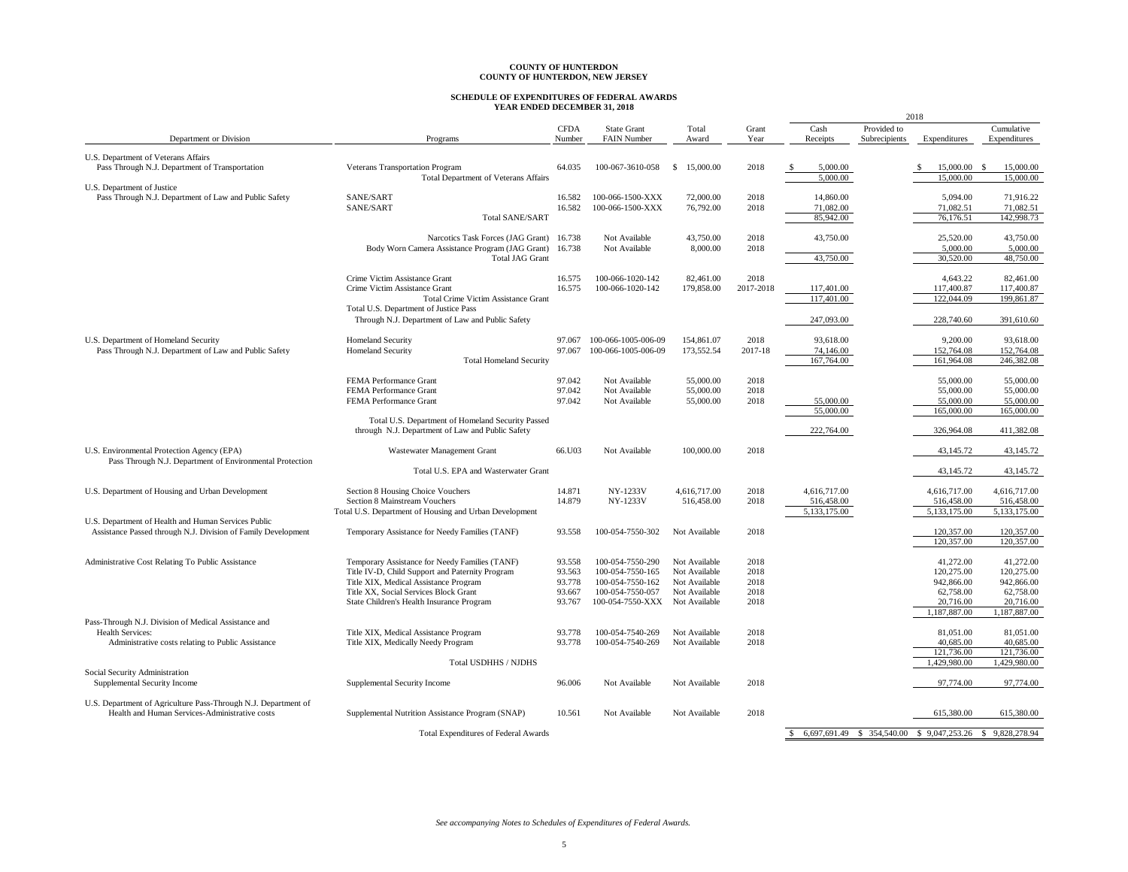# **SCHEDULE OF EXPENDITURES OF FEDERAL AWARDS YEAR ENDED DECEMBER 31, 2018**

| Cash<br>Provided to<br>Cumulative<br><b>CFDA</b><br><b>State Grant</b><br>Total<br>Grant<br>Department or Division<br>Programs<br>Number<br><b>FAIN Number</b><br>Award<br>Year<br>Receipts<br>Subrecipients<br>Expenditures<br>Expenditures<br>U.S. Department of Veterans Affairs<br>Pass Through N.J. Department of Transportation<br>64.035<br>15,000.00<br>2018<br>5,000.00<br>15,000.00<br>- \$<br>15,000.00<br><b>Veterans Transportation Program</b><br>100-067-3610-058<br>-S<br>-\$<br>-S<br>15,000.00<br><b>Total Department of Veterans Affairs</b><br>5,000.00<br>15,000.00<br>U.S. Department of Justice<br>Pass Through N.J. Department of Law and Public Safety<br>SANE/SART<br>16.582<br>100-066-1500-XXX<br>72,000.00<br>2018<br>5.094.00<br>14,860.00<br>71,916.22<br>SANE/SART<br>16.582<br>71,082.51<br>100-066-1500-XXX<br>76,792.00<br>2018<br>71,082.00<br>71,082.51<br>142,998.73<br>85,942.00<br>76,176.51<br><b>Total SANE/SART</b><br>25,520.00<br>43,750.00<br>Narcotics Task Forces (JAG Grant)<br>16.738<br>Not Available<br>43,750.00<br>2018<br>43,750.00<br>Body Worn Camera Assistance Program (JAG Grant)<br>16.738<br>Not Available<br>8,000.00<br>2018<br>5,000.00<br>5,000.00<br>43,750.00<br>30,520.00<br>48,750.00<br><b>Total JAG Grant</b><br>2018<br>Crime Victim Assistance Grant<br>16.575<br>100-066-1020-142<br>82,461.00<br>4,643.22<br>82,461.00<br>Crime Victim Assistance Grant<br>16.575<br>100-066-1020-142<br>179,858.00<br>2017-2018<br>117,400.87<br>117,400.87<br>117,401.00<br>117,401.00<br>122,044.09<br>199,861.87<br>Total Crime Victim Assistance Grant<br>Total U.S. Department of Justice Pass<br>Through N.J. Department of Law and Public Safety<br>247,093.00<br>228,740.60<br>391,610.60<br>U.S. Department of Homeland Security<br>100-066-1005-006-09<br>154,861.07<br>2018<br>93,618.00<br>9,200.00<br>93,618.00<br><b>Homeland Security</b><br>97.067<br>152,764.08<br>Pass Through N.J. Department of Law and Public Safety<br><b>Homeland Security</b><br>97.067<br>100-066-1005-006-09<br>173,552.54<br>2017-18<br>74,146.00<br>152,764.08<br>167,764.00<br>161,964.08<br>246,382.08<br><b>Total Homeland Security</b><br>97.042<br>2018<br>55,000.00<br>FEMA Performance Grant<br>Not Available<br>55,000.00<br>55,000.00<br>FEMA Performance Grant<br>97.042<br>Not Available<br>55,000.00<br>2018<br>55,000.00<br>55,000.00<br>FEMA Performance Grant<br>97.042<br>Not Available<br>55,000.00<br>2018<br>55,000.00<br>55,000.00<br>55,000.00<br>165,000.00<br>55,000.00<br>165,000.00<br>Total U.S. Department of Homeland Security Passed<br>through N.J. Department of Law and Public Safety<br>222,764.00<br>326,964.08<br>411,382.08<br>66.U03<br>100,000.00<br>2018<br>43,145.72<br>U.S. Environmental Protection Agency (EPA)<br>Wastewater Management Grant<br>Not Available<br>43,145.72<br>Pass Through N.J. Department of Environmental Protection<br>43,145.72<br>Total U.S. EPA and Wasterwater Grant<br>43,145.72<br>Section 8 Housing Choice Vouchers<br>14.871<br>NY-1233V<br>2018<br>U.S. Department of Housing and Urban Development<br>4,616,717.00<br>4,616,717.00<br>4,616,717.00<br>4,616,717.00<br>Section 8 Mainstream Vouchers<br>14.879<br>NY-1233V<br>516,458.00<br>2018<br>516,458.00<br>516,458.00<br>516,458.00<br>5,133,175.00<br>5,133,175.00<br>5,133,175.00<br>Total U.S. Department of Housing and Urban Development<br>U.S. Department of Health and Human Services Public<br>Assistance Passed through N.J. Division of Family Development<br>Temporary Assistance for Needy Families (TANF)<br>93.558<br>100-054-7550-302<br>Not Available<br>2018<br>120,357.00<br>120,357.00<br>120,357.00<br>120,357.00<br>Administrative Cost Relating To Public Assistance<br>Temporary Assistance for Needy Families (TANF)<br>2018<br>41,272.00<br>41,272.00<br>93.558<br>100-054-7550-290<br>Not Available<br>Title IV-D, Child Support and Paternity Program<br>93.563<br>Not Available<br>2018<br>120,275.00<br>120,275.00<br>100-054-7550-165<br>Title XIX, Medical Assistance Program<br>93.778<br>100-054-7550-162<br>Not Available<br>2018<br>942,866.00<br>942,866.00<br>Title XX, Social Services Block Grant<br>93.667<br>100-054-7550-057<br>Not Available<br>2018<br>62,758.00<br>62,758.00<br>2018<br>20,716.00<br>State Children's Health Insurance Program<br>93.767<br>100-054-7550-XXX Not Available<br>20,716.00<br>1,187,887.00<br>1,187,887.00<br>Pass-Through N.J. Division of Medical Assistance and<br>Health Services:<br>Title XIX, Medical Assistance Program<br>93.778<br>2018<br>81,051.00<br>81,051.00<br>100-054-7540-269<br>Not Available<br>2018<br>40,685.00<br>Administrative costs relating to Public Assistance<br>Title XIX, Medically Needy Program<br>93.778<br>100-054-7540-269<br>Not Available<br>40,685.00<br>121,736.00<br>121,736.00<br>Total USDHHS / NJDHS<br>1,429,980.00<br>1,429,980.00<br>Social Security Administration<br>97,774.00<br>Supplemental Security Income<br>96.006<br>Not Available<br>Not Available<br>2018<br>97,774.00<br>Supplemental Security Income<br>U.S. Department of Agriculture Pass-Through N.J. Department of<br>Health and Human Services-Administrative costs<br>615.380.00<br>615,380.00<br>Supplemental Nutrition Assistance Program (SNAP)<br>10.561<br>Not Available<br>Not Available<br>2018<br>6,697,691.49<br>354,540.00<br>\$9,047,253.26<br>9,828,278.94<br>$\mathbb{S}$<br>-S<br><sup>\$</sup><br><b>Total Expenditures of Federal Awards</b> |  |  |  |  | 2018 |  |
|-----------------------------------------------------------------------------------------------------------------------------------------------------------------------------------------------------------------------------------------------------------------------------------------------------------------------------------------------------------------------------------------------------------------------------------------------------------------------------------------------------------------------------------------------------------------------------------------------------------------------------------------------------------------------------------------------------------------------------------------------------------------------------------------------------------------------------------------------------------------------------------------------------------------------------------------------------------------------------------------------------------------------------------------------------------------------------------------------------------------------------------------------------------------------------------------------------------------------------------------------------------------------------------------------------------------------------------------------------------------------------------------------------------------------------------------------------------------------------------------------------------------------------------------------------------------------------------------------------------------------------------------------------------------------------------------------------------------------------------------------------------------------------------------------------------------------------------------------------------------------------------------------------------------------------------------------------------------------------------------------------------------------------------------------------------------------------------------------------------------------------------------------------------------------------------------------------------------------------------------------------------------------------------------------------------------------------------------------------------------------------------------------------------------------------------------------------------------------------------------------------------------------------------------------------------------------------------------------------------------------------------------------------------------------------------------------------------------------------------------------------------------------------------------------------------------------------------------------------------------------------------------------------------------------------------------------------------------------------------------------------------------------------------------------------------------------------------------------------------------------------------------------------------------------------------------------------------------------------------------------------------------------------------------------------------------------------------------------------------------------------------------------------------------------------------------------------------------------------------------------------------------------------------------------------------------------------------------------------------------------------------------------------------------------------------------------------------------------------------------------------------------------------------------------------------------------------------------------------------------------------------------------------------------------------------------------------------------------------------------------------------------------------------------------------------------------------------------------------------------------------------------------------------------------------------------------------------------------------------------------------------------------------------------------------------------------------------------------------------------------------------------------------------------------------------------------------------------------------------------------------------------------------------------------------------------------------------------------------------------------------------------------------------------------------------------------------------------------------------------------------------------------------------------------------------------------------------------------------------------------------------------------------------------------------------------------------------------------------------------------------------------------------------------------------------------------------------------------------------------------------------------------------------------------------------------------------------------------------------------------------------------------------------------------------------------------------------------------------------------------------------------------------------------------------------------------------------------------------------------------------------------------------------------------------|--|--|--|--|------|--|
|                                                                                                                                                                                                                                                                                                                                                                                                                                                                                                                                                                                                                                                                                                                                                                                                                                                                                                                                                                                                                                                                                                                                                                                                                                                                                                                                                                                                                                                                                                                                                                                                                                                                                                                                                                                                                                                                                                                                                                                                                                                                                                                                                                                                                                                                                                                                                                                                                                                                                                                                                                                                                                                                                                                                                                                                                                                                                                                                                                                                                                                                                                                                                                                                                                                                                                                                                                                                                                                                                                                                                                                                                                                                                                                                                                                                                                                                                                                                                                                                                                                                                                                                                                                                                                                                                                                                                                                                                                                                                                                                                                                                                                                                                                                                                                                                                                                                                                                                                                                                                                                                                                                                                                                                                                                                                                                                                                                                                                                                                                                                                     |  |  |  |  |      |  |
|                                                                                                                                                                                                                                                                                                                                                                                                                                                                                                                                                                                                                                                                                                                                                                                                                                                                                                                                                                                                                                                                                                                                                                                                                                                                                                                                                                                                                                                                                                                                                                                                                                                                                                                                                                                                                                                                                                                                                                                                                                                                                                                                                                                                                                                                                                                                                                                                                                                                                                                                                                                                                                                                                                                                                                                                                                                                                                                                                                                                                                                                                                                                                                                                                                                                                                                                                                                                                                                                                                                                                                                                                                                                                                                                                                                                                                                                                                                                                                                                                                                                                                                                                                                                                                                                                                                                                                                                                                                                                                                                                                                                                                                                                                                                                                                                                                                                                                                                                                                                                                                                                                                                                                                                                                                                                                                                                                                                                                                                                                                                                     |  |  |  |  |      |  |
|                                                                                                                                                                                                                                                                                                                                                                                                                                                                                                                                                                                                                                                                                                                                                                                                                                                                                                                                                                                                                                                                                                                                                                                                                                                                                                                                                                                                                                                                                                                                                                                                                                                                                                                                                                                                                                                                                                                                                                                                                                                                                                                                                                                                                                                                                                                                                                                                                                                                                                                                                                                                                                                                                                                                                                                                                                                                                                                                                                                                                                                                                                                                                                                                                                                                                                                                                                                                                                                                                                                                                                                                                                                                                                                                                                                                                                                                                                                                                                                                                                                                                                                                                                                                                                                                                                                                                                                                                                                                                                                                                                                                                                                                                                                                                                                                                                                                                                                                                                                                                                                                                                                                                                                                                                                                                                                                                                                                                                                                                                                                                     |  |  |  |  |      |  |
|                                                                                                                                                                                                                                                                                                                                                                                                                                                                                                                                                                                                                                                                                                                                                                                                                                                                                                                                                                                                                                                                                                                                                                                                                                                                                                                                                                                                                                                                                                                                                                                                                                                                                                                                                                                                                                                                                                                                                                                                                                                                                                                                                                                                                                                                                                                                                                                                                                                                                                                                                                                                                                                                                                                                                                                                                                                                                                                                                                                                                                                                                                                                                                                                                                                                                                                                                                                                                                                                                                                                                                                                                                                                                                                                                                                                                                                                                                                                                                                                                                                                                                                                                                                                                                                                                                                                                                                                                                                                                                                                                                                                                                                                                                                                                                                                                                                                                                                                                                                                                                                                                                                                                                                                                                                                                                                                                                                                                                                                                                                                                     |  |  |  |  |      |  |
|                                                                                                                                                                                                                                                                                                                                                                                                                                                                                                                                                                                                                                                                                                                                                                                                                                                                                                                                                                                                                                                                                                                                                                                                                                                                                                                                                                                                                                                                                                                                                                                                                                                                                                                                                                                                                                                                                                                                                                                                                                                                                                                                                                                                                                                                                                                                                                                                                                                                                                                                                                                                                                                                                                                                                                                                                                                                                                                                                                                                                                                                                                                                                                                                                                                                                                                                                                                                                                                                                                                                                                                                                                                                                                                                                                                                                                                                                                                                                                                                                                                                                                                                                                                                                                                                                                                                                                                                                                                                                                                                                                                                                                                                                                                                                                                                                                                                                                                                                                                                                                                                                                                                                                                                                                                                                                                                                                                                                                                                                                                                                     |  |  |  |  |      |  |
|                                                                                                                                                                                                                                                                                                                                                                                                                                                                                                                                                                                                                                                                                                                                                                                                                                                                                                                                                                                                                                                                                                                                                                                                                                                                                                                                                                                                                                                                                                                                                                                                                                                                                                                                                                                                                                                                                                                                                                                                                                                                                                                                                                                                                                                                                                                                                                                                                                                                                                                                                                                                                                                                                                                                                                                                                                                                                                                                                                                                                                                                                                                                                                                                                                                                                                                                                                                                                                                                                                                                                                                                                                                                                                                                                                                                                                                                                                                                                                                                                                                                                                                                                                                                                                                                                                                                                                                                                                                                                                                                                                                                                                                                                                                                                                                                                                                                                                                                                                                                                                                                                                                                                                                                                                                                                                                                                                                                                                                                                                                                                     |  |  |  |  |      |  |
|                                                                                                                                                                                                                                                                                                                                                                                                                                                                                                                                                                                                                                                                                                                                                                                                                                                                                                                                                                                                                                                                                                                                                                                                                                                                                                                                                                                                                                                                                                                                                                                                                                                                                                                                                                                                                                                                                                                                                                                                                                                                                                                                                                                                                                                                                                                                                                                                                                                                                                                                                                                                                                                                                                                                                                                                                                                                                                                                                                                                                                                                                                                                                                                                                                                                                                                                                                                                                                                                                                                                                                                                                                                                                                                                                                                                                                                                                                                                                                                                                                                                                                                                                                                                                                                                                                                                                                                                                                                                                                                                                                                                                                                                                                                                                                                                                                                                                                                                                                                                                                                                                                                                                                                                                                                                                                                                                                                                                                                                                                                                                     |  |  |  |  |      |  |
|                                                                                                                                                                                                                                                                                                                                                                                                                                                                                                                                                                                                                                                                                                                                                                                                                                                                                                                                                                                                                                                                                                                                                                                                                                                                                                                                                                                                                                                                                                                                                                                                                                                                                                                                                                                                                                                                                                                                                                                                                                                                                                                                                                                                                                                                                                                                                                                                                                                                                                                                                                                                                                                                                                                                                                                                                                                                                                                                                                                                                                                                                                                                                                                                                                                                                                                                                                                                                                                                                                                                                                                                                                                                                                                                                                                                                                                                                                                                                                                                                                                                                                                                                                                                                                                                                                                                                                                                                                                                                                                                                                                                                                                                                                                                                                                                                                                                                                                                                                                                                                                                                                                                                                                                                                                                                                                                                                                                                                                                                                                                                     |  |  |  |  |      |  |
|                                                                                                                                                                                                                                                                                                                                                                                                                                                                                                                                                                                                                                                                                                                                                                                                                                                                                                                                                                                                                                                                                                                                                                                                                                                                                                                                                                                                                                                                                                                                                                                                                                                                                                                                                                                                                                                                                                                                                                                                                                                                                                                                                                                                                                                                                                                                                                                                                                                                                                                                                                                                                                                                                                                                                                                                                                                                                                                                                                                                                                                                                                                                                                                                                                                                                                                                                                                                                                                                                                                                                                                                                                                                                                                                                                                                                                                                                                                                                                                                                                                                                                                                                                                                                                                                                                                                                                                                                                                                                                                                                                                                                                                                                                                                                                                                                                                                                                                                                                                                                                                                                                                                                                                                                                                                                                                                                                                                                                                                                                                                                     |  |  |  |  |      |  |
|                                                                                                                                                                                                                                                                                                                                                                                                                                                                                                                                                                                                                                                                                                                                                                                                                                                                                                                                                                                                                                                                                                                                                                                                                                                                                                                                                                                                                                                                                                                                                                                                                                                                                                                                                                                                                                                                                                                                                                                                                                                                                                                                                                                                                                                                                                                                                                                                                                                                                                                                                                                                                                                                                                                                                                                                                                                                                                                                                                                                                                                                                                                                                                                                                                                                                                                                                                                                                                                                                                                                                                                                                                                                                                                                                                                                                                                                                                                                                                                                                                                                                                                                                                                                                                                                                                                                                                                                                                                                                                                                                                                                                                                                                                                                                                                                                                                                                                                                                                                                                                                                                                                                                                                                                                                                                                                                                                                                                                                                                                                                                     |  |  |  |  |      |  |
|                                                                                                                                                                                                                                                                                                                                                                                                                                                                                                                                                                                                                                                                                                                                                                                                                                                                                                                                                                                                                                                                                                                                                                                                                                                                                                                                                                                                                                                                                                                                                                                                                                                                                                                                                                                                                                                                                                                                                                                                                                                                                                                                                                                                                                                                                                                                                                                                                                                                                                                                                                                                                                                                                                                                                                                                                                                                                                                                                                                                                                                                                                                                                                                                                                                                                                                                                                                                                                                                                                                                                                                                                                                                                                                                                                                                                                                                                                                                                                                                                                                                                                                                                                                                                                                                                                                                                                                                                                                                                                                                                                                                                                                                                                                                                                                                                                                                                                                                                                                                                                                                                                                                                                                                                                                                                                                                                                                                                                                                                                                                                     |  |  |  |  |      |  |
|                                                                                                                                                                                                                                                                                                                                                                                                                                                                                                                                                                                                                                                                                                                                                                                                                                                                                                                                                                                                                                                                                                                                                                                                                                                                                                                                                                                                                                                                                                                                                                                                                                                                                                                                                                                                                                                                                                                                                                                                                                                                                                                                                                                                                                                                                                                                                                                                                                                                                                                                                                                                                                                                                                                                                                                                                                                                                                                                                                                                                                                                                                                                                                                                                                                                                                                                                                                                                                                                                                                                                                                                                                                                                                                                                                                                                                                                                                                                                                                                                                                                                                                                                                                                                                                                                                                                                                                                                                                                                                                                                                                                                                                                                                                                                                                                                                                                                                                                                                                                                                                                                                                                                                                                                                                                                                                                                                                                                                                                                                                                                     |  |  |  |  |      |  |
|                                                                                                                                                                                                                                                                                                                                                                                                                                                                                                                                                                                                                                                                                                                                                                                                                                                                                                                                                                                                                                                                                                                                                                                                                                                                                                                                                                                                                                                                                                                                                                                                                                                                                                                                                                                                                                                                                                                                                                                                                                                                                                                                                                                                                                                                                                                                                                                                                                                                                                                                                                                                                                                                                                                                                                                                                                                                                                                                                                                                                                                                                                                                                                                                                                                                                                                                                                                                                                                                                                                                                                                                                                                                                                                                                                                                                                                                                                                                                                                                                                                                                                                                                                                                                                                                                                                                                                                                                                                                                                                                                                                                                                                                                                                                                                                                                                                                                                                                                                                                                                                                                                                                                                                                                                                                                                                                                                                                                                                                                                                                                     |  |  |  |  |      |  |
|                                                                                                                                                                                                                                                                                                                                                                                                                                                                                                                                                                                                                                                                                                                                                                                                                                                                                                                                                                                                                                                                                                                                                                                                                                                                                                                                                                                                                                                                                                                                                                                                                                                                                                                                                                                                                                                                                                                                                                                                                                                                                                                                                                                                                                                                                                                                                                                                                                                                                                                                                                                                                                                                                                                                                                                                                                                                                                                                                                                                                                                                                                                                                                                                                                                                                                                                                                                                                                                                                                                                                                                                                                                                                                                                                                                                                                                                                                                                                                                                                                                                                                                                                                                                                                                                                                                                                                                                                                                                                                                                                                                                                                                                                                                                                                                                                                                                                                                                                                                                                                                                                                                                                                                                                                                                                                                                                                                                                                                                                                                                                     |  |  |  |  |      |  |
|                                                                                                                                                                                                                                                                                                                                                                                                                                                                                                                                                                                                                                                                                                                                                                                                                                                                                                                                                                                                                                                                                                                                                                                                                                                                                                                                                                                                                                                                                                                                                                                                                                                                                                                                                                                                                                                                                                                                                                                                                                                                                                                                                                                                                                                                                                                                                                                                                                                                                                                                                                                                                                                                                                                                                                                                                                                                                                                                                                                                                                                                                                                                                                                                                                                                                                                                                                                                                                                                                                                                                                                                                                                                                                                                                                                                                                                                                                                                                                                                                                                                                                                                                                                                                                                                                                                                                                                                                                                                                                                                                                                                                                                                                                                                                                                                                                                                                                                                                                                                                                                                                                                                                                                                                                                                                                                                                                                                                                                                                                                                                     |  |  |  |  |      |  |
|                                                                                                                                                                                                                                                                                                                                                                                                                                                                                                                                                                                                                                                                                                                                                                                                                                                                                                                                                                                                                                                                                                                                                                                                                                                                                                                                                                                                                                                                                                                                                                                                                                                                                                                                                                                                                                                                                                                                                                                                                                                                                                                                                                                                                                                                                                                                                                                                                                                                                                                                                                                                                                                                                                                                                                                                                                                                                                                                                                                                                                                                                                                                                                                                                                                                                                                                                                                                                                                                                                                                                                                                                                                                                                                                                                                                                                                                                                                                                                                                                                                                                                                                                                                                                                                                                                                                                                                                                                                                                                                                                                                                                                                                                                                                                                                                                                                                                                                                                                                                                                                                                                                                                                                                                                                                                                                                                                                                                                                                                                                                                     |  |  |  |  |      |  |
|                                                                                                                                                                                                                                                                                                                                                                                                                                                                                                                                                                                                                                                                                                                                                                                                                                                                                                                                                                                                                                                                                                                                                                                                                                                                                                                                                                                                                                                                                                                                                                                                                                                                                                                                                                                                                                                                                                                                                                                                                                                                                                                                                                                                                                                                                                                                                                                                                                                                                                                                                                                                                                                                                                                                                                                                                                                                                                                                                                                                                                                                                                                                                                                                                                                                                                                                                                                                                                                                                                                                                                                                                                                                                                                                                                                                                                                                                                                                                                                                                                                                                                                                                                                                                                                                                                                                                                                                                                                                                                                                                                                                                                                                                                                                                                                                                                                                                                                                                                                                                                                                                                                                                                                                                                                                                                                                                                                                                                                                                                                                                     |  |  |  |  |      |  |
|                                                                                                                                                                                                                                                                                                                                                                                                                                                                                                                                                                                                                                                                                                                                                                                                                                                                                                                                                                                                                                                                                                                                                                                                                                                                                                                                                                                                                                                                                                                                                                                                                                                                                                                                                                                                                                                                                                                                                                                                                                                                                                                                                                                                                                                                                                                                                                                                                                                                                                                                                                                                                                                                                                                                                                                                                                                                                                                                                                                                                                                                                                                                                                                                                                                                                                                                                                                                                                                                                                                                                                                                                                                                                                                                                                                                                                                                                                                                                                                                                                                                                                                                                                                                                                                                                                                                                                                                                                                                                                                                                                                                                                                                                                                                                                                                                                                                                                                                                                                                                                                                                                                                                                                                                                                                                                                                                                                                                                                                                                                                                     |  |  |  |  |      |  |
|                                                                                                                                                                                                                                                                                                                                                                                                                                                                                                                                                                                                                                                                                                                                                                                                                                                                                                                                                                                                                                                                                                                                                                                                                                                                                                                                                                                                                                                                                                                                                                                                                                                                                                                                                                                                                                                                                                                                                                                                                                                                                                                                                                                                                                                                                                                                                                                                                                                                                                                                                                                                                                                                                                                                                                                                                                                                                                                                                                                                                                                                                                                                                                                                                                                                                                                                                                                                                                                                                                                                                                                                                                                                                                                                                                                                                                                                                                                                                                                                                                                                                                                                                                                                                                                                                                                                                                                                                                                                                                                                                                                                                                                                                                                                                                                                                                                                                                                                                                                                                                                                                                                                                                                                                                                                                                                                                                                                                                                                                                                                                     |  |  |  |  |      |  |
|                                                                                                                                                                                                                                                                                                                                                                                                                                                                                                                                                                                                                                                                                                                                                                                                                                                                                                                                                                                                                                                                                                                                                                                                                                                                                                                                                                                                                                                                                                                                                                                                                                                                                                                                                                                                                                                                                                                                                                                                                                                                                                                                                                                                                                                                                                                                                                                                                                                                                                                                                                                                                                                                                                                                                                                                                                                                                                                                                                                                                                                                                                                                                                                                                                                                                                                                                                                                                                                                                                                                                                                                                                                                                                                                                                                                                                                                                                                                                                                                                                                                                                                                                                                                                                                                                                                                                                                                                                                                                                                                                                                                                                                                                                                                                                                                                                                                                                                                                                                                                                                                                                                                                                                                                                                                                                                                                                                                                                                                                                                                                     |  |  |  |  |      |  |
|                                                                                                                                                                                                                                                                                                                                                                                                                                                                                                                                                                                                                                                                                                                                                                                                                                                                                                                                                                                                                                                                                                                                                                                                                                                                                                                                                                                                                                                                                                                                                                                                                                                                                                                                                                                                                                                                                                                                                                                                                                                                                                                                                                                                                                                                                                                                                                                                                                                                                                                                                                                                                                                                                                                                                                                                                                                                                                                                                                                                                                                                                                                                                                                                                                                                                                                                                                                                                                                                                                                                                                                                                                                                                                                                                                                                                                                                                                                                                                                                                                                                                                                                                                                                                                                                                                                                                                                                                                                                                                                                                                                                                                                                                                                                                                                                                                                                                                                                                                                                                                                                                                                                                                                                                                                                                                                                                                                                                                                                                                                                                     |  |  |  |  |      |  |
|                                                                                                                                                                                                                                                                                                                                                                                                                                                                                                                                                                                                                                                                                                                                                                                                                                                                                                                                                                                                                                                                                                                                                                                                                                                                                                                                                                                                                                                                                                                                                                                                                                                                                                                                                                                                                                                                                                                                                                                                                                                                                                                                                                                                                                                                                                                                                                                                                                                                                                                                                                                                                                                                                                                                                                                                                                                                                                                                                                                                                                                                                                                                                                                                                                                                                                                                                                                                                                                                                                                                                                                                                                                                                                                                                                                                                                                                                                                                                                                                                                                                                                                                                                                                                                                                                                                                                                                                                                                                                                                                                                                                                                                                                                                                                                                                                                                                                                                                                                                                                                                                                                                                                                                                                                                                                                                                                                                                                                                                                                                                                     |  |  |  |  |      |  |
|                                                                                                                                                                                                                                                                                                                                                                                                                                                                                                                                                                                                                                                                                                                                                                                                                                                                                                                                                                                                                                                                                                                                                                                                                                                                                                                                                                                                                                                                                                                                                                                                                                                                                                                                                                                                                                                                                                                                                                                                                                                                                                                                                                                                                                                                                                                                                                                                                                                                                                                                                                                                                                                                                                                                                                                                                                                                                                                                                                                                                                                                                                                                                                                                                                                                                                                                                                                                                                                                                                                                                                                                                                                                                                                                                                                                                                                                                                                                                                                                                                                                                                                                                                                                                                                                                                                                                                                                                                                                                                                                                                                                                                                                                                                                                                                                                                                                                                                                                                                                                                                                                                                                                                                                                                                                                                                                                                                                                                                                                                                                                     |  |  |  |  |      |  |
|                                                                                                                                                                                                                                                                                                                                                                                                                                                                                                                                                                                                                                                                                                                                                                                                                                                                                                                                                                                                                                                                                                                                                                                                                                                                                                                                                                                                                                                                                                                                                                                                                                                                                                                                                                                                                                                                                                                                                                                                                                                                                                                                                                                                                                                                                                                                                                                                                                                                                                                                                                                                                                                                                                                                                                                                                                                                                                                                                                                                                                                                                                                                                                                                                                                                                                                                                                                                                                                                                                                                                                                                                                                                                                                                                                                                                                                                                                                                                                                                                                                                                                                                                                                                                                                                                                                                                                                                                                                                                                                                                                                                                                                                                                                                                                                                                                                                                                                                                                                                                                                                                                                                                                                                                                                                                                                                                                                                                                                                                                                                                     |  |  |  |  |      |  |
|                                                                                                                                                                                                                                                                                                                                                                                                                                                                                                                                                                                                                                                                                                                                                                                                                                                                                                                                                                                                                                                                                                                                                                                                                                                                                                                                                                                                                                                                                                                                                                                                                                                                                                                                                                                                                                                                                                                                                                                                                                                                                                                                                                                                                                                                                                                                                                                                                                                                                                                                                                                                                                                                                                                                                                                                                                                                                                                                                                                                                                                                                                                                                                                                                                                                                                                                                                                                                                                                                                                                                                                                                                                                                                                                                                                                                                                                                                                                                                                                                                                                                                                                                                                                                                                                                                                                                                                                                                                                                                                                                                                                                                                                                                                                                                                                                                                                                                                                                                                                                                                                                                                                                                                                                                                                                                                                                                                                                                                                                                                                                     |  |  |  |  |      |  |
|                                                                                                                                                                                                                                                                                                                                                                                                                                                                                                                                                                                                                                                                                                                                                                                                                                                                                                                                                                                                                                                                                                                                                                                                                                                                                                                                                                                                                                                                                                                                                                                                                                                                                                                                                                                                                                                                                                                                                                                                                                                                                                                                                                                                                                                                                                                                                                                                                                                                                                                                                                                                                                                                                                                                                                                                                                                                                                                                                                                                                                                                                                                                                                                                                                                                                                                                                                                                                                                                                                                                                                                                                                                                                                                                                                                                                                                                                                                                                                                                                                                                                                                                                                                                                                                                                                                                                                                                                                                                                                                                                                                                                                                                                                                                                                                                                                                                                                                                                                                                                                                                                                                                                                                                                                                                                                                                                                                                                                                                                                                                                     |  |  |  |  |      |  |
|                                                                                                                                                                                                                                                                                                                                                                                                                                                                                                                                                                                                                                                                                                                                                                                                                                                                                                                                                                                                                                                                                                                                                                                                                                                                                                                                                                                                                                                                                                                                                                                                                                                                                                                                                                                                                                                                                                                                                                                                                                                                                                                                                                                                                                                                                                                                                                                                                                                                                                                                                                                                                                                                                                                                                                                                                                                                                                                                                                                                                                                                                                                                                                                                                                                                                                                                                                                                                                                                                                                                                                                                                                                                                                                                                                                                                                                                                                                                                                                                                                                                                                                                                                                                                                                                                                                                                                                                                                                                                                                                                                                                                                                                                                                                                                                                                                                                                                                                                                                                                                                                                                                                                                                                                                                                                                                                                                                                                                                                                                                                                     |  |  |  |  |      |  |
|                                                                                                                                                                                                                                                                                                                                                                                                                                                                                                                                                                                                                                                                                                                                                                                                                                                                                                                                                                                                                                                                                                                                                                                                                                                                                                                                                                                                                                                                                                                                                                                                                                                                                                                                                                                                                                                                                                                                                                                                                                                                                                                                                                                                                                                                                                                                                                                                                                                                                                                                                                                                                                                                                                                                                                                                                                                                                                                                                                                                                                                                                                                                                                                                                                                                                                                                                                                                                                                                                                                                                                                                                                                                                                                                                                                                                                                                                                                                                                                                                                                                                                                                                                                                                                                                                                                                                                                                                                                                                                                                                                                                                                                                                                                                                                                                                                                                                                                                                                                                                                                                                                                                                                                                                                                                                                                                                                                                                                                                                                                                                     |  |  |  |  |      |  |
|                                                                                                                                                                                                                                                                                                                                                                                                                                                                                                                                                                                                                                                                                                                                                                                                                                                                                                                                                                                                                                                                                                                                                                                                                                                                                                                                                                                                                                                                                                                                                                                                                                                                                                                                                                                                                                                                                                                                                                                                                                                                                                                                                                                                                                                                                                                                                                                                                                                                                                                                                                                                                                                                                                                                                                                                                                                                                                                                                                                                                                                                                                                                                                                                                                                                                                                                                                                                                                                                                                                                                                                                                                                                                                                                                                                                                                                                                                                                                                                                                                                                                                                                                                                                                                                                                                                                                                                                                                                                                                                                                                                                                                                                                                                                                                                                                                                                                                                                                                                                                                                                                                                                                                                                                                                                                                                                                                                                                                                                                                                                                     |  |  |  |  |      |  |
|                                                                                                                                                                                                                                                                                                                                                                                                                                                                                                                                                                                                                                                                                                                                                                                                                                                                                                                                                                                                                                                                                                                                                                                                                                                                                                                                                                                                                                                                                                                                                                                                                                                                                                                                                                                                                                                                                                                                                                                                                                                                                                                                                                                                                                                                                                                                                                                                                                                                                                                                                                                                                                                                                                                                                                                                                                                                                                                                                                                                                                                                                                                                                                                                                                                                                                                                                                                                                                                                                                                                                                                                                                                                                                                                                                                                                                                                                                                                                                                                                                                                                                                                                                                                                                                                                                                                                                                                                                                                                                                                                                                                                                                                                                                                                                                                                                                                                                                                                                                                                                                                                                                                                                                                                                                                                                                                                                                                                                                                                                                                                     |  |  |  |  |      |  |
|                                                                                                                                                                                                                                                                                                                                                                                                                                                                                                                                                                                                                                                                                                                                                                                                                                                                                                                                                                                                                                                                                                                                                                                                                                                                                                                                                                                                                                                                                                                                                                                                                                                                                                                                                                                                                                                                                                                                                                                                                                                                                                                                                                                                                                                                                                                                                                                                                                                                                                                                                                                                                                                                                                                                                                                                                                                                                                                                                                                                                                                                                                                                                                                                                                                                                                                                                                                                                                                                                                                                                                                                                                                                                                                                                                                                                                                                                                                                                                                                                                                                                                                                                                                                                                                                                                                                                                                                                                                                                                                                                                                                                                                                                                                                                                                                                                                                                                                                                                                                                                                                                                                                                                                                                                                                                                                                                                                                                                                                                                                                                     |  |  |  |  |      |  |
|                                                                                                                                                                                                                                                                                                                                                                                                                                                                                                                                                                                                                                                                                                                                                                                                                                                                                                                                                                                                                                                                                                                                                                                                                                                                                                                                                                                                                                                                                                                                                                                                                                                                                                                                                                                                                                                                                                                                                                                                                                                                                                                                                                                                                                                                                                                                                                                                                                                                                                                                                                                                                                                                                                                                                                                                                                                                                                                                                                                                                                                                                                                                                                                                                                                                                                                                                                                                                                                                                                                                                                                                                                                                                                                                                                                                                                                                                                                                                                                                                                                                                                                                                                                                                                                                                                                                                                                                                                                                                                                                                                                                                                                                                                                                                                                                                                                                                                                                                                                                                                                                                                                                                                                                                                                                                                                                                                                                                                                                                                                                                     |  |  |  |  |      |  |
|                                                                                                                                                                                                                                                                                                                                                                                                                                                                                                                                                                                                                                                                                                                                                                                                                                                                                                                                                                                                                                                                                                                                                                                                                                                                                                                                                                                                                                                                                                                                                                                                                                                                                                                                                                                                                                                                                                                                                                                                                                                                                                                                                                                                                                                                                                                                                                                                                                                                                                                                                                                                                                                                                                                                                                                                                                                                                                                                                                                                                                                                                                                                                                                                                                                                                                                                                                                                                                                                                                                                                                                                                                                                                                                                                                                                                                                                                                                                                                                                                                                                                                                                                                                                                                                                                                                                                                                                                                                                                                                                                                                                                                                                                                                                                                                                                                                                                                                                                                                                                                                                                                                                                                                                                                                                                                                                                                                                                                                                                                                                                     |  |  |  |  |      |  |
|                                                                                                                                                                                                                                                                                                                                                                                                                                                                                                                                                                                                                                                                                                                                                                                                                                                                                                                                                                                                                                                                                                                                                                                                                                                                                                                                                                                                                                                                                                                                                                                                                                                                                                                                                                                                                                                                                                                                                                                                                                                                                                                                                                                                                                                                                                                                                                                                                                                                                                                                                                                                                                                                                                                                                                                                                                                                                                                                                                                                                                                                                                                                                                                                                                                                                                                                                                                                                                                                                                                                                                                                                                                                                                                                                                                                                                                                                                                                                                                                                                                                                                                                                                                                                                                                                                                                                                                                                                                                                                                                                                                                                                                                                                                                                                                                                                                                                                                                                                                                                                                                                                                                                                                                                                                                                                                                                                                                                                                                                                                                                     |  |  |  |  |      |  |
|                                                                                                                                                                                                                                                                                                                                                                                                                                                                                                                                                                                                                                                                                                                                                                                                                                                                                                                                                                                                                                                                                                                                                                                                                                                                                                                                                                                                                                                                                                                                                                                                                                                                                                                                                                                                                                                                                                                                                                                                                                                                                                                                                                                                                                                                                                                                                                                                                                                                                                                                                                                                                                                                                                                                                                                                                                                                                                                                                                                                                                                                                                                                                                                                                                                                                                                                                                                                                                                                                                                                                                                                                                                                                                                                                                                                                                                                                                                                                                                                                                                                                                                                                                                                                                                                                                                                                                                                                                                                                                                                                                                                                                                                                                                                                                                                                                                                                                                                                                                                                                                                                                                                                                                                                                                                                                                                                                                                                                                                                                                                                     |  |  |  |  |      |  |
|                                                                                                                                                                                                                                                                                                                                                                                                                                                                                                                                                                                                                                                                                                                                                                                                                                                                                                                                                                                                                                                                                                                                                                                                                                                                                                                                                                                                                                                                                                                                                                                                                                                                                                                                                                                                                                                                                                                                                                                                                                                                                                                                                                                                                                                                                                                                                                                                                                                                                                                                                                                                                                                                                                                                                                                                                                                                                                                                                                                                                                                                                                                                                                                                                                                                                                                                                                                                                                                                                                                                                                                                                                                                                                                                                                                                                                                                                                                                                                                                                                                                                                                                                                                                                                                                                                                                                                                                                                                                                                                                                                                                                                                                                                                                                                                                                                                                                                                                                                                                                                                                                                                                                                                                                                                                                                                                                                                                                                                                                                                                                     |  |  |  |  |      |  |
|                                                                                                                                                                                                                                                                                                                                                                                                                                                                                                                                                                                                                                                                                                                                                                                                                                                                                                                                                                                                                                                                                                                                                                                                                                                                                                                                                                                                                                                                                                                                                                                                                                                                                                                                                                                                                                                                                                                                                                                                                                                                                                                                                                                                                                                                                                                                                                                                                                                                                                                                                                                                                                                                                                                                                                                                                                                                                                                                                                                                                                                                                                                                                                                                                                                                                                                                                                                                                                                                                                                                                                                                                                                                                                                                                                                                                                                                                                                                                                                                                                                                                                                                                                                                                                                                                                                                                                                                                                                                                                                                                                                                                                                                                                                                                                                                                                                                                                                                                                                                                                                                                                                                                                                                                                                                                                                                                                                                                                                                                                                                                     |  |  |  |  |      |  |
|                                                                                                                                                                                                                                                                                                                                                                                                                                                                                                                                                                                                                                                                                                                                                                                                                                                                                                                                                                                                                                                                                                                                                                                                                                                                                                                                                                                                                                                                                                                                                                                                                                                                                                                                                                                                                                                                                                                                                                                                                                                                                                                                                                                                                                                                                                                                                                                                                                                                                                                                                                                                                                                                                                                                                                                                                                                                                                                                                                                                                                                                                                                                                                                                                                                                                                                                                                                                                                                                                                                                                                                                                                                                                                                                                                                                                                                                                                                                                                                                                                                                                                                                                                                                                                                                                                                                                                                                                                                                                                                                                                                                                                                                                                                                                                                                                                                                                                                                                                                                                                                                                                                                                                                                                                                                                                                                                                                                                                                                                                                                                     |  |  |  |  |      |  |
|                                                                                                                                                                                                                                                                                                                                                                                                                                                                                                                                                                                                                                                                                                                                                                                                                                                                                                                                                                                                                                                                                                                                                                                                                                                                                                                                                                                                                                                                                                                                                                                                                                                                                                                                                                                                                                                                                                                                                                                                                                                                                                                                                                                                                                                                                                                                                                                                                                                                                                                                                                                                                                                                                                                                                                                                                                                                                                                                                                                                                                                                                                                                                                                                                                                                                                                                                                                                                                                                                                                                                                                                                                                                                                                                                                                                                                                                                                                                                                                                                                                                                                                                                                                                                                                                                                                                                                                                                                                                                                                                                                                                                                                                                                                                                                                                                                                                                                                                                                                                                                                                                                                                                                                                                                                                                                                                                                                                                                                                                                                                                     |  |  |  |  |      |  |
|                                                                                                                                                                                                                                                                                                                                                                                                                                                                                                                                                                                                                                                                                                                                                                                                                                                                                                                                                                                                                                                                                                                                                                                                                                                                                                                                                                                                                                                                                                                                                                                                                                                                                                                                                                                                                                                                                                                                                                                                                                                                                                                                                                                                                                                                                                                                                                                                                                                                                                                                                                                                                                                                                                                                                                                                                                                                                                                                                                                                                                                                                                                                                                                                                                                                                                                                                                                                                                                                                                                                                                                                                                                                                                                                                                                                                                                                                                                                                                                                                                                                                                                                                                                                                                                                                                                                                                                                                                                                                                                                                                                                                                                                                                                                                                                                                                                                                                                                                                                                                                                                                                                                                                                                                                                                                                                                                                                                                                                                                                                                                     |  |  |  |  |      |  |
|                                                                                                                                                                                                                                                                                                                                                                                                                                                                                                                                                                                                                                                                                                                                                                                                                                                                                                                                                                                                                                                                                                                                                                                                                                                                                                                                                                                                                                                                                                                                                                                                                                                                                                                                                                                                                                                                                                                                                                                                                                                                                                                                                                                                                                                                                                                                                                                                                                                                                                                                                                                                                                                                                                                                                                                                                                                                                                                                                                                                                                                                                                                                                                                                                                                                                                                                                                                                                                                                                                                                                                                                                                                                                                                                                                                                                                                                                                                                                                                                                                                                                                                                                                                                                                                                                                                                                                                                                                                                                                                                                                                                                                                                                                                                                                                                                                                                                                                                                                                                                                                                                                                                                                                                                                                                                                                                                                                                                                                                                                                                                     |  |  |  |  |      |  |
|                                                                                                                                                                                                                                                                                                                                                                                                                                                                                                                                                                                                                                                                                                                                                                                                                                                                                                                                                                                                                                                                                                                                                                                                                                                                                                                                                                                                                                                                                                                                                                                                                                                                                                                                                                                                                                                                                                                                                                                                                                                                                                                                                                                                                                                                                                                                                                                                                                                                                                                                                                                                                                                                                                                                                                                                                                                                                                                                                                                                                                                                                                                                                                                                                                                                                                                                                                                                                                                                                                                                                                                                                                                                                                                                                                                                                                                                                                                                                                                                                                                                                                                                                                                                                                                                                                                                                                                                                                                                                                                                                                                                                                                                                                                                                                                                                                                                                                                                                                                                                                                                                                                                                                                                                                                                                                                                                                                                                                                                                                                                                     |  |  |  |  |      |  |
|                                                                                                                                                                                                                                                                                                                                                                                                                                                                                                                                                                                                                                                                                                                                                                                                                                                                                                                                                                                                                                                                                                                                                                                                                                                                                                                                                                                                                                                                                                                                                                                                                                                                                                                                                                                                                                                                                                                                                                                                                                                                                                                                                                                                                                                                                                                                                                                                                                                                                                                                                                                                                                                                                                                                                                                                                                                                                                                                                                                                                                                                                                                                                                                                                                                                                                                                                                                                                                                                                                                                                                                                                                                                                                                                                                                                                                                                                                                                                                                                                                                                                                                                                                                                                                                                                                                                                                                                                                                                                                                                                                                                                                                                                                                                                                                                                                                                                                                                                                                                                                                                                                                                                                                                                                                                                                                                                                                                                                                                                                                                                     |  |  |  |  |      |  |
|                                                                                                                                                                                                                                                                                                                                                                                                                                                                                                                                                                                                                                                                                                                                                                                                                                                                                                                                                                                                                                                                                                                                                                                                                                                                                                                                                                                                                                                                                                                                                                                                                                                                                                                                                                                                                                                                                                                                                                                                                                                                                                                                                                                                                                                                                                                                                                                                                                                                                                                                                                                                                                                                                                                                                                                                                                                                                                                                                                                                                                                                                                                                                                                                                                                                                                                                                                                                                                                                                                                                                                                                                                                                                                                                                                                                                                                                                                                                                                                                                                                                                                                                                                                                                                                                                                                                                                                                                                                                                                                                                                                                                                                                                                                                                                                                                                                                                                                                                                                                                                                                                                                                                                                                                                                                                                                                                                                                                                                                                                                                                     |  |  |  |  |      |  |
|                                                                                                                                                                                                                                                                                                                                                                                                                                                                                                                                                                                                                                                                                                                                                                                                                                                                                                                                                                                                                                                                                                                                                                                                                                                                                                                                                                                                                                                                                                                                                                                                                                                                                                                                                                                                                                                                                                                                                                                                                                                                                                                                                                                                                                                                                                                                                                                                                                                                                                                                                                                                                                                                                                                                                                                                                                                                                                                                                                                                                                                                                                                                                                                                                                                                                                                                                                                                                                                                                                                                                                                                                                                                                                                                                                                                                                                                                                                                                                                                                                                                                                                                                                                                                                                                                                                                                                                                                                                                                                                                                                                                                                                                                                                                                                                                                                                                                                                                                                                                                                                                                                                                                                                                                                                                                                                                                                                                                                                                                                                                                     |  |  |  |  |      |  |
|                                                                                                                                                                                                                                                                                                                                                                                                                                                                                                                                                                                                                                                                                                                                                                                                                                                                                                                                                                                                                                                                                                                                                                                                                                                                                                                                                                                                                                                                                                                                                                                                                                                                                                                                                                                                                                                                                                                                                                                                                                                                                                                                                                                                                                                                                                                                                                                                                                                                                                                                                                                                                                                                                                                                                                                                                                                                                                                                                                                                                                                                                                                                                                                                                                                                                                                                                                                                                                                                                                                                                                                                                                                                                                                                                                                                                                                                                                                                                                                                                                                                                                                                                                                                                                                                                                                                                                                                                                                                                                                                                                                                                                                                                                                                                                                                                                                                                                                                                                                                                                                                                                                                                                                                                                                                                                                                                                                                                                                                                                                                                     |  |  |  |  |      |  |
|                                                                                                                                                                                                                                                                                                                                                                                                                                                                                                                                                                                                                                                                                                                                                                                                                                                                                                                                                                                                                                                                                                                                                                                                                                                                                                                                                                                                                                                                                                                                                                                                                                                                                                                                                                                                                                                                                                                                                                                                                                                                                                                                                                                                                                                                                                                                                                                                                                                                                                                                                                                                                                                                                                                                                                                                                                                                                                                                                                                                                                                                                                                                                                                                                                                                                                                                                                                                                                                                                                                                                                                                                                                                                                                                                                                                                                                                                                                                                                                                                                                                                                                                                                                                                                                                                                                                                                                                                                                                                                                                                                                                                                                                                                                                                                                                                                                                                                                                                                                                                                                                                                                                                                                                                                                                                                                                                                                                                                                                                                                                                     |  |  |  |  |      |  |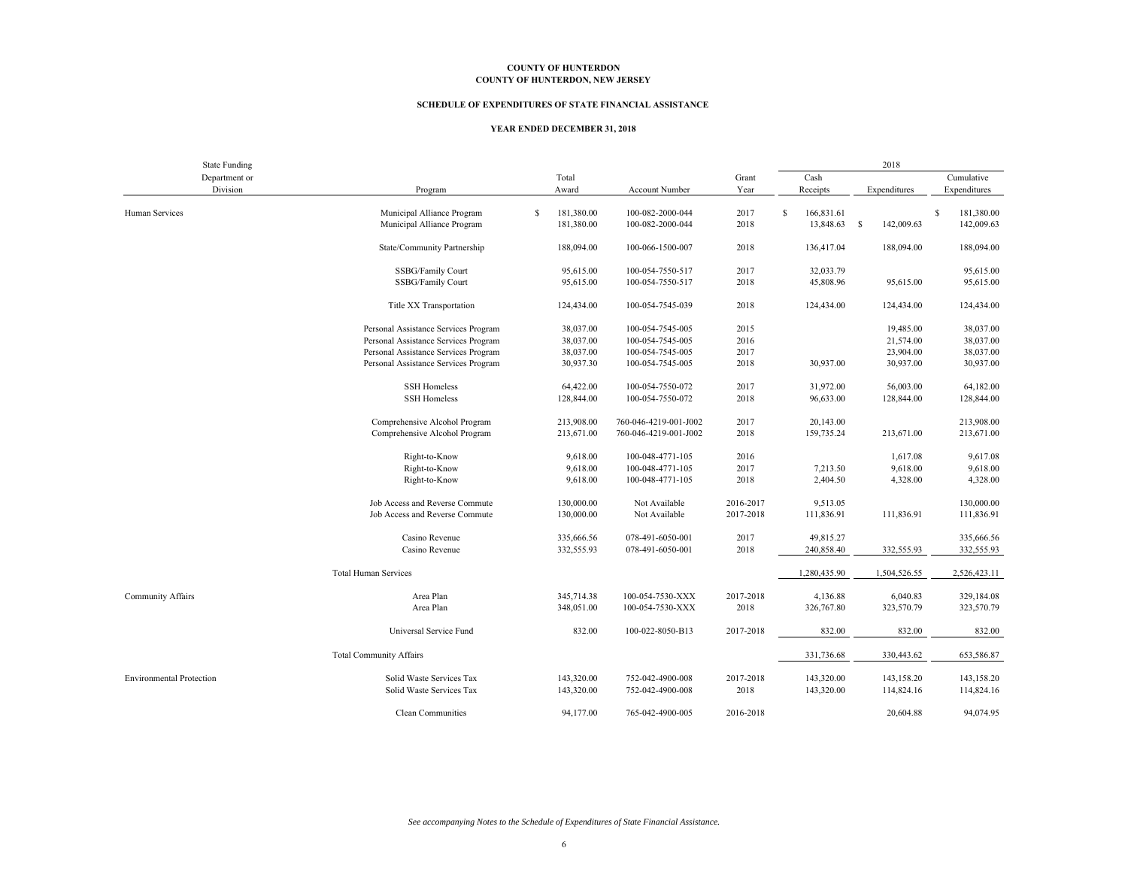#### **SCHEDULE OF EXPENDITURES OF STATE FINANCIAL ASSISTANCE**

#### **YEAR ENDED DECEMBER 31, 2018**

| <b>State Funding</b>            |                                      |   |            |                       |           |                             | 2018         |                 |
|---------------------------------|--------------------------------------|---|------------|-----------------------|-----------|-----------------------------|--------------|-----------------|
| Department or                   |                                      |   | Total      |                       | Grant     | Cash                        |              | Cumulative      |
| Division                        | Program                              |   | Award      | <b>Account Number</b> | Year      | Receipts                    | Expenditures | Expenditures    |
|                                 |                                      |   |            |                       |           |                             |              |                 |
| Human Services                  | Municipal Alliance Program           | S | 181,380.00 | 100-082-2000-044      | 2017      | <sup>\$</sup><br>166,831.61 |              | s<br>181,380.00 |
|                                 | Municipal Alliance Program           |   | 181,380.00 | 100-082-2000-044      | 2018      | 13,848.63 \$                | 142,009.63   | 142,009.63      |
|                                 | State/Community Partnership          |   | 188,094.00 | 100-066-1500-007      | 2018      | 136,417.04                  | 188,094.00   | 188,094.00      |
|                                 |                                      |   |            |                       |           |                             |              |                 |
|                                 | SSBG/Family Court                    |   | 95,615.00  | 100-054-7550-517      | 2017      | 32,033.79                   |              | 95,615.00       |
|                                 | SSBG/Family Court                    |   | 95,615.00  | 100-054-7550-517      | 2018      | 45,808.96                   | 95,615.00    | 95,615.00       |
|                                 |                                      |   |            |                       |           |                             |              |                 |
|                                 | Title XX Transportation              |   | 124,434.00 | 100-054-7545-039      | 2018      | 124,434.00                  | 124,434.00   | 124,434.00      |
|                                 | Personal Assistance Services Program |   | 38,037.00  | 100-054-7545-005      | 2015      |                             | 19,485.00    | 38,037.00       |
|                                 | Personal Assistance Services Program |   | 38,037.00  | 100-054-7545-005      | 2016      |                             | 21,574.00    | 38,037.00       |
|                                 | Personal Assistance Services Program |   | 38,037.00  | 100-054-7545-005      | 2017      |                             | 23,904.00    | 38,037.00       |
|                                 | Personal Assistance Services Program |   | 30,937.30  | 100-054-7545-005      | 2018      | 30,937.00                   | 30,937.00    | 30,937.00       |
|                                 |                                      |   |            |                       |           |                             |              |                 |
|                                 | <b>SSH Homeless</b>                  |   | 64,422.00  | 100-054-7550-072      | 2017      | 31,972.00                   | 56,003.00    | 64,182.00       |
|                                 | <b>SSH Homeless</b>                  |   | 128,844.00 | 100-054-7550-072      | 2018      | 96,633.00                   | 128,844.00   | 128,844.00      |
|                                 |                                      |   |            |                       |           |                             |              |                 |
|                                 | Comprehensive Alcohol Program        |   | 213,908.00 | 760-046-4219-001-J002 | 2017      | 20,143.00                   |              | 213,908.00      |
|                                 | Comprehensive Alcohol Program        |   | 213,671.00 | 760-046-4219-001-J002 | 2018      | 159,735.24                  | 213,671.00   | 213,671.00      |
|                                 | Right-to-Know                        |   | 9,618.00   | 100-048-4771-105      | 2016      |                             | 1,617.08     | 9,617.08        |
|                                 |                                      |   |            |                       |           |                             |              |                 |
|                                 | Right-to-Know                        |   | 9,618.00   | 100-048-4771-105      | 2017      | 7,213.50                    | 9,618.00     | 9,618.00        |
|                                 | Right-to-Know                        |   | 9,618.00   | 100-048-4771-105      | 2018      | 2,404.50                    | 4,328.00     | 4,328.00        |
|                                 | Job Access and Reverse Commute       |   | 130,000.00 | Not Available         | 2016-2017 | 9,513.05                    |              | 130,000.00      |
|                                 | Job Access and Reverse Commute       |   | 130,000.00 | Not Available         | 2017-2018 | 111,836.91                  | 111,836.91   | 111,836.91      |
|                                 |                                      |   |            |                       |           |                             |              |                 |
|                                 | Casino Revenue                       |   | 335,666.56 | 078-491-6050-001      | 2017      | 49,815.27                   |              | 335,666.56      |
|                                 | Casino Revenue                       |   | 332,555.93 | 078-491-6050-001      | 2018      | 240,858.40                  | 332,555.93   | 332,555.93      |
|                                 | <b>Total Human Services</b>          |   |            |                       |           | 1,280,435.90                | 1,504,526.55 | 2,526,423.11    |
|                                 |                                      |   |            |                       |           |                             |              |                 |
| Community Affairs               | Area Plan                            |   | 345,714.38 | 100-054-7530-XXX      | 2017-2018 | 4,136.88                    | 6,040.83     | 329,184.08      |
|                                 | Area Plan                            |   | 348,051.00 | 100-054-7530-XXX      | 2018      | 326,767.80                  | 323,570.79   | 323,570.79      |
|                                 |                                      |   |            |                       |           |                             |              |                 |
|                                 | Universal Service Fund               |   | 832.00     | 100-022-8050-B13      | 2017-2018 | 832.00                      | 832.00       | 832.00          |
|                                 | <b>Total Community Affairs</b>       |   |            |                       |           | 331,736.68                  | 330,443.62   | 653,586.87      |
|                                 |                                      |   |            |                       |           |                             |              |                 |
| <b>Environmental Protection</b> | Solid Waste Services Tax             |   | 143,320.00 | 752-042-4900-008      | 2017-2018 | 143,320.00                  | 143,158.20   | 143,158.20      |
|                                 | Solid Waste Services Tax             |   | 143,320.00 | 752-042-4900-008      | 2018      | 143,320.00                  | 114,824.16   | 114,824.16      |
|                                 |                                      |   |            |                       |           |                             |              |                 |
|                                 | Clean Communities                    |   | 94,177.00  | 765-042-4900-005      | 2016-2018 |                             | 20,604.88    | 94,074.95       |

*See accompanying Notes to the Schedule of Expenditures of State Financial Assistance.*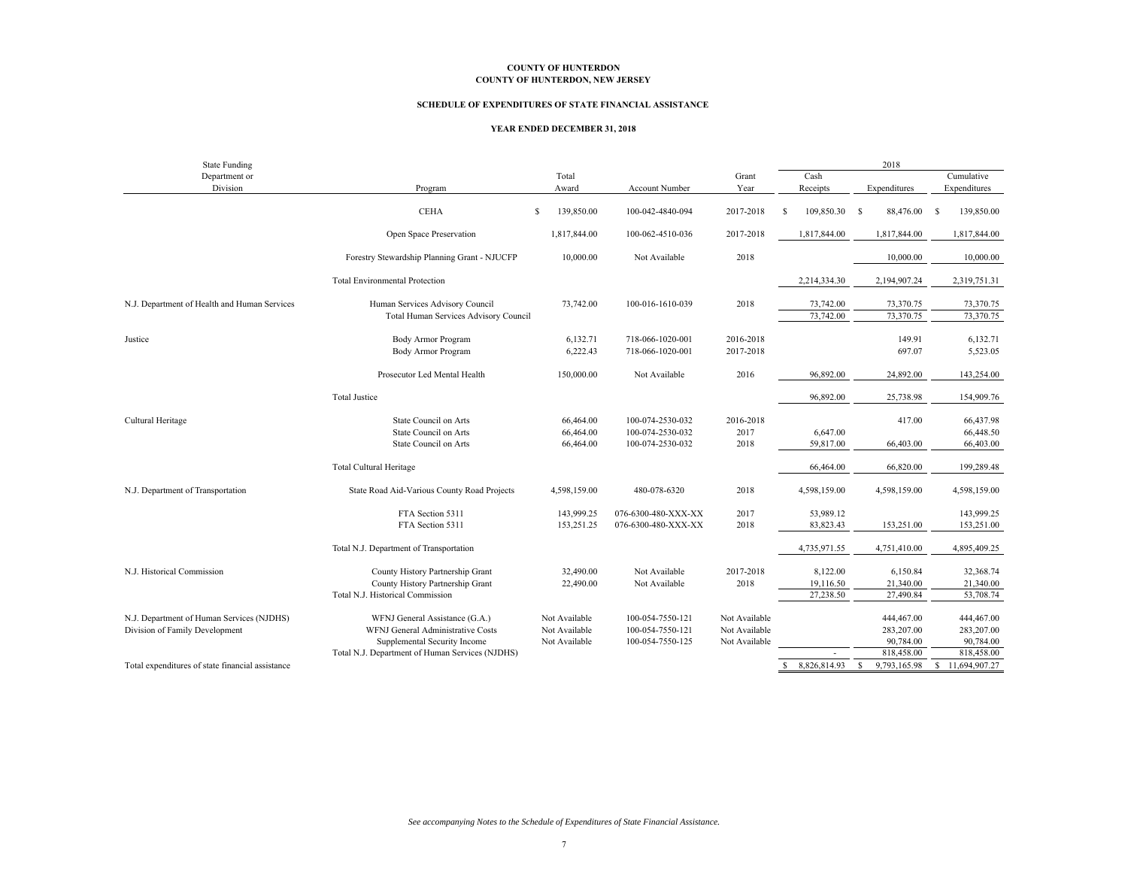#### **SCHEDULE OF EXPENDITURES OF STATE FINANCIAL ASSISTANCE**

#### **YEAR ENDED DECEMBER 31, 2018**

| <b>State Funding</b>                             |                                                 |   |               |                     |               |               |                        |              | 2018                   |              |                        |
|--------------------------------------------------|-------------------------------------------------|---|---------------|---------------------|---------------|---------------|------------------------|--------------|------------------------|--------------|------------------------|
| Department or                                    |                                                 |   | Total         |                     | Grant         |               | Cash                   |              |                        |              | Cumulative             |
| Division                                         | Program                                         |   | Award         | Account Number      | Year          |               | Receipts               |              | Expenditures           |              | Expenditures           |
|                                                  | <b>CEHA</b>                                     | S | 139,850.00    | 100-042-4840-094    | 2017-2018     | -S            | 109,850.30             | -S           | 88,476.00              | -S           | 139,850.00             |
|                                                  | Open Space Preservation                         |   | 1,817,844.00  | 100-062-4510-036    | 2017-2018     |               | 1,817,844.00           |              | 1,817,844.00           |              | 1,817,844.00           |
|                                                  | Forestry Stewardship Planning Grant - NJUCFP    |   | 10,000.00     | Not Available       | 2018          |               |                        |              | 10,000.00              |              | 10,000.00              |
|                                                  | <b>Total Environmental Protection</b>           |   |               |                     |               |               | 2,214,334.30           |              | 2,194,907.24           |              | 2,319,751.31           |
| N.J. Department of Health and Human Services     | Human Services Advisory Council                 |   | 73,742.00     | 100-016-1610-039    | 2018          |               | 73,742.00<br>73,742.00 |              | 73,370.75<br>73,370.75 |              | 73,370.75<br>73,370.75 |
|                                                  | Total Human Services Advisory Council           |   |               |                     |               |               |                        |              |                        |              |                        |
| Justice                                          | <b>Body Armor Program</b>                       |   | 6,132.71      | 718-066-1020-001    | 2016-2018     |               |                        |              | 149.91                 |              | 6,132.71               |
|                                                  | Body Armor Program                              |   | 6,222.43      | 718-066-1020-001    | 2017-2018     |               |                        |              | 697.07                 |              | 5,523.05               |
|                                                  | Prosecutor Led Mental Health                    |   | 150,000.00    | Not Available       | 2016          |               | 96,892.00              |              | 24,892.00              |              | 143,254.00             |
|                                                  | <b>Total Justice</b>                            |   |               |                     |               |               | 96,892.00              |              | 25,738.98              |              | 154,909.76             |
| Cultural Heritage                                | State Council on Arts                           |   | 66,464.00     | 100-074-2530-032    | 2016-2018     |               |                        |              | 417.00                 |              | 66,437.98              |
|                                                  | <b>State Council on Arts</b>                    |   | 66,464.00     | 100-074-2530-032    | 2017          |               | 6,647.00               |              |                        |              | 66,448.50              |
|                                                  | State Council on Arts                           |   | 66,464.00     | 100-074-2530-032    | 2018          |               | 59,817.00              |              | 66,403.00              |              | 66,403.00              |
|                                                  | <b>Total Cultural Heritage</b>                  |   |               |                     |               |               | 66,464.00              |              | 66,820.00              |              | 199,289.48             |
| N.J. Department of Transportation                | State Road Aid-Various County Road Projects     |   | 4,598,159.00  | 480-078-6320        | 2018          |               | 4,598,159.00           |              | 4,598,159.00           |              | 4,598,159.00           |
|                                                  | FTA Section 5311                                |   | 143,999.25    | 076-6300-480-XXX-XX | 2017          |               | 53,989.12              |              |                        |              | 143,999.25             |
|                                                  | FTA Section 5311                                |   | 153,251.25    | 076-6300-480-XXX-XX | 2018          |               | 83,823.43              |              | 153,251.00             |              | 153,251.00             |
|                                                  | Total N.J. Department of Transportation         |   |               |                     |               |               | 4,735,971.55           |              | 4,751,410.00           |              | 4,895,409.25           |
| N.J. Historical Commission                       | County History Partnership Grant                |   | 32,490.00     | Not Available       | 2017-2018     |               | 8,122.00               |              | 6,150.84               |              | 32,368.74              |
|                                                  | County History Partnership Grant                |   | 22,490.00     | Not Available       | 2018          |               | 19,116.50              |              | 21,340.00              |              | 21,340.00              |
|                                                  | Total N.J. Historical Commission                |   |               |                     |               |               | 27,238.50              |              | 27,490.84              |              | 53,708.74              |
| N.J. Department of Human Services (NJDHS)        | WFNJ General Assistance (G.A.)                  |   | Not Available | 100-054-7550-121    | Not Available |               |                        |              | 444,467.00             |              | 444,467.00             |
| Division of Family Development                   | WFNJ General Administrative Costs               |   | Not Available | 100-054-7550-121    | Not Available |               |                        |              | 283,207.00             |              | 283,207.00             |
|                                                  | Supplemental Security Income                    |   | Not Available | 100-054-7550-125    | Not Available |               |                        |              | 90,784.00              |              | 90,784.00              |
|                                                  | Total N.J. Department of Human Services (NJDHS) |   |               |                     |               |               |                        |              | 818,458.00             |              | 818,458.00             |
| Total expenditures of state financial assistance |                                                 |   |               |                     |               | <sup>\$</sup> | 8,826,814.93           | $\mathbf{s}$ | 9,793,165.98           | $\mathbb{S}$ | 11,694,907.27          |

*See accompanying Notes to the Schedule of Expenditures of State Financial Assistance.*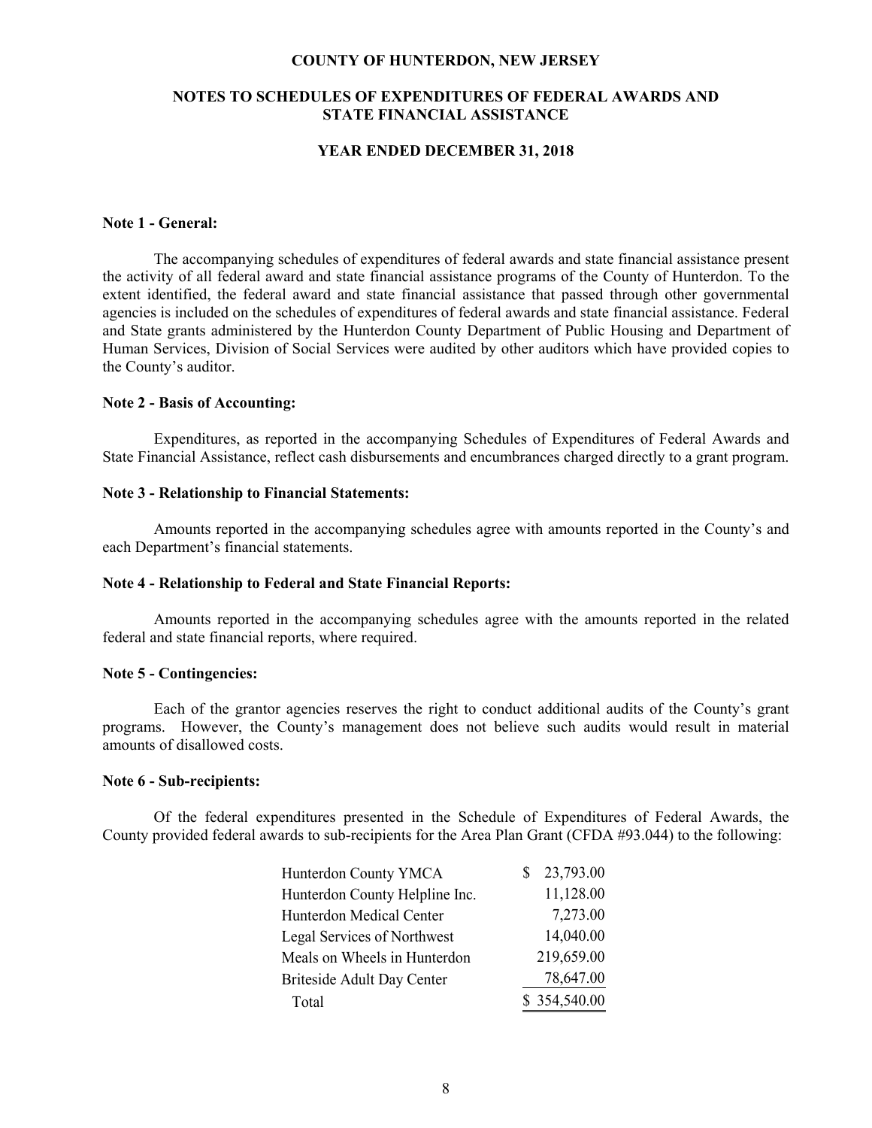#### **COUNTY OF HUNTERDON, NEW JERSEY**

### **NOTES TO SCHEDULES OF EXPENDITURES OF FEDERAL AWARDS AND STATE FINANCIAL ASSISTANCE**

### **YEAR ENDED DECEMBER 31, 2018**

### **Note 1 - General:**

 The accompanying schedules of expenditures of federal awards and state financial assistance present the activity of all federal award and state financial assistance programs of the County of Hunterdon. To the extent identified, the federal award and state financial assistance that passed through other governmental agencies is included on the schedules of expenditures of federal awards and state financial assistance. Federal and State grants administered by the Hunterdon County Department of Public Housing and Department of Human Services, Division of Social Services were audited by other auditors which have provided copies to the County's auditor.

### **Note 2 - Basis of Accounting:**

 Expenditures, as reported in the accompanying Schedules of Expenditures of Federal Awards and State Financial Assistance, reflect cash disbursements and encumbrances charged directly to a grant program.

### **Note 3 - Relationship to Financial Statements:**

 Amounts reported in the accompanying schedules agree with amounts reported in the County's and each Department's financial statements.

### **Note 4 - Relationship to Federal and State Financial Reports:**

 Amounts reported in the accompanying schedules agree with the amounts reported in the related federal and state financial reports, where required.

#### **Note 5 - Contingencies:**

 Each of the grantor agencies reserves the right to conduct additional audits of the County's grant programs. However, the County's management does not believe such audits would result in material amounts of disallowed costs.

#### **Note 6 - Sub-recipients:**

Of the federal expenditures presented in the Schedule of Expenditures of Federal Awards, the County provided federal awards to sub-recipients for the Area Plan Grant (CFDA #93.044) to the following:

| <b>Hunterdon County YMCA</b>   | 23,793.00<br>S. |
|--------------------------------|-----------------|
| Hunterdon County Helpline Inc. | 11,128.00       |
| Hunterdon Medical Center       | 7,273.00        |
| Legal Services of Northwest    | 14,040.00       |
| Meals on Wheels in Hunterdon   | 219,659.00      |
| Briteside Adult Day Center     | 78,647.00       |
| Total                          | \$354,540.00    |
|                                |                 |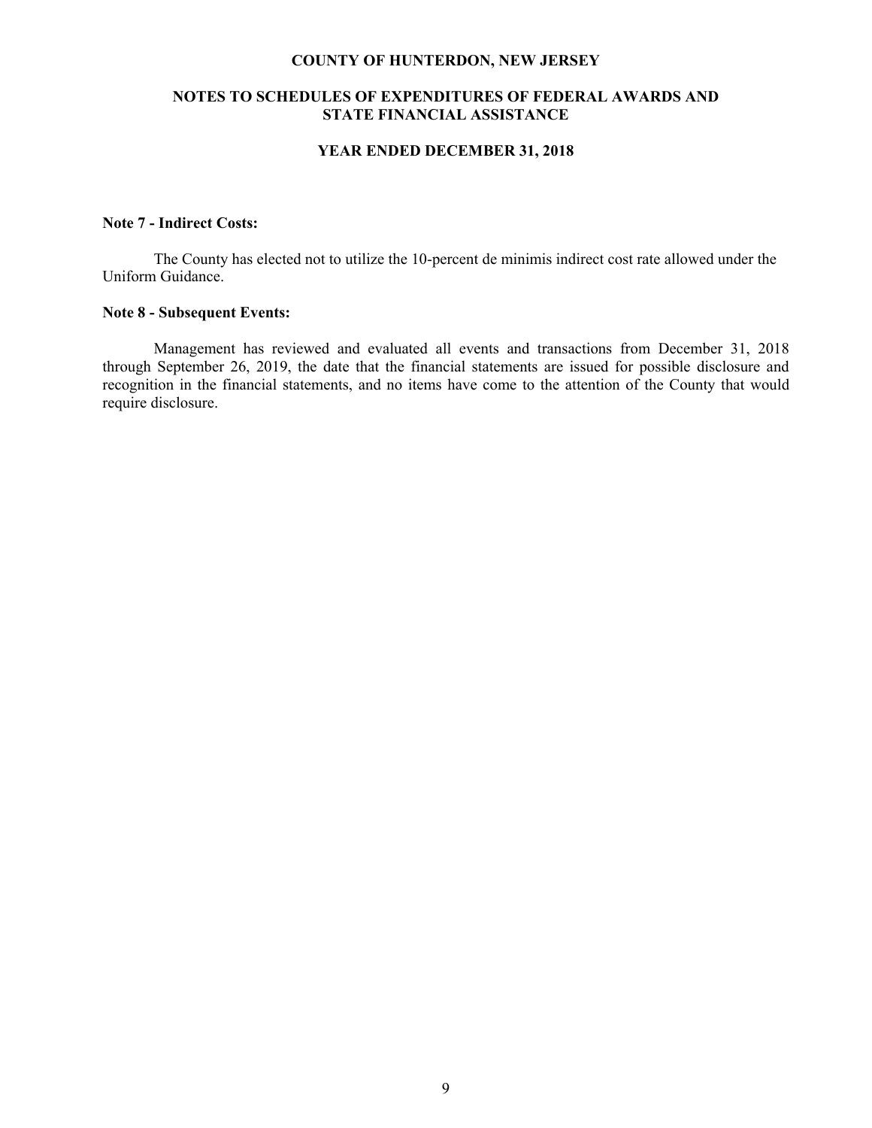#### **COUNTY OF HUNTERDON, NEW JERSEY**

### **NOTES TO SCHEDULES OF EXPENDITURES OF FEDERAL AWARDS AND STATE FINANCIAL ASSISTANCE**

### **YEAR ENDED DECEMBER 31, 2018**

### **Note 7 - Indirect Costs:**

 The County has elected not to utilize the 10-percent de minimis indirect cost rate allowed under the Uniform Guidance.

### **Note 8 - Subsequent Events:**

Management has reviewed and evaluated all events and transactions from December 31, 2018 through September 26, 2019, the date that the financial statements are issued for possible disclosure and recognition in the financial statements, and no items have come to the attention of the County that would require disclosure.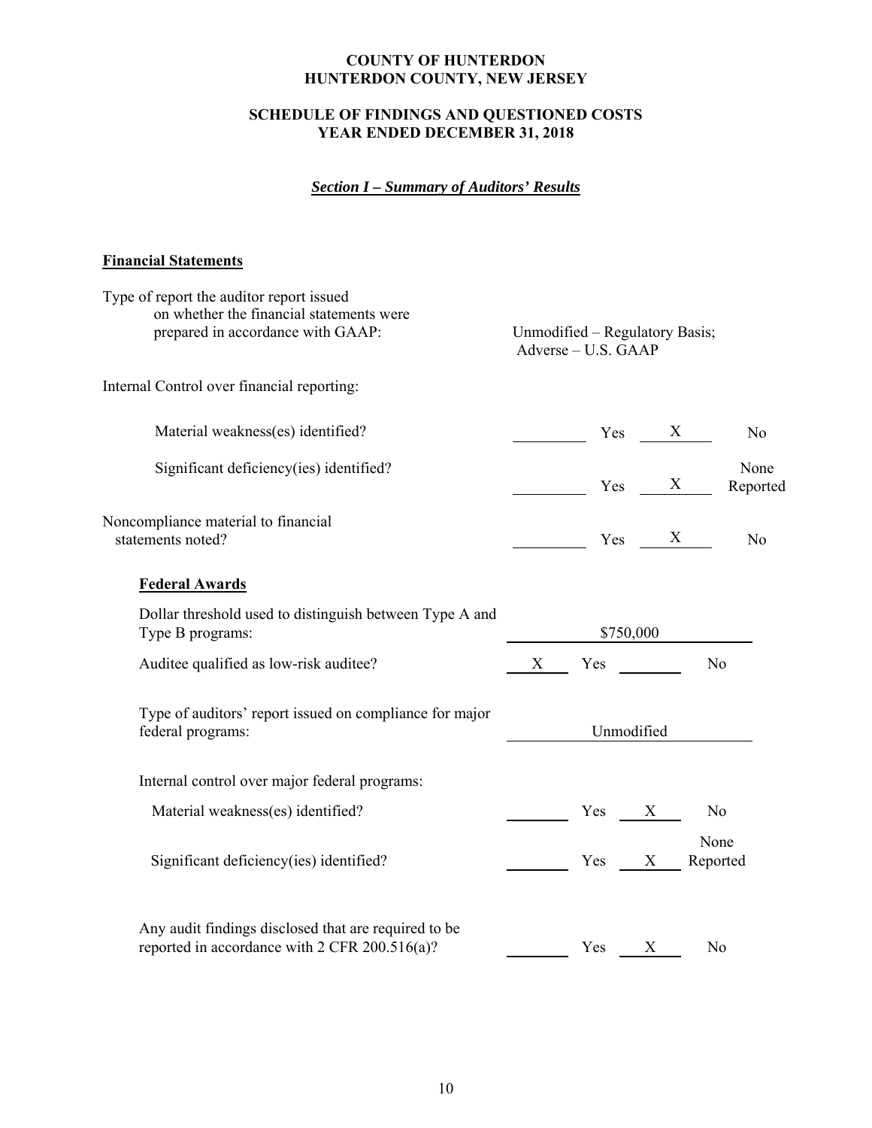# **SCHEDULE OF FINDINGS AND QUESTIONED COSTS YEAR ENDED DECEMBER 31, 2018**

# *Section I – Summary of Auditors' Results*

# **Financial Statements**

| Type of report the auditor report issued<br>on whether the financial statements were<br>prepared in accordance with GAAP: | Unmodified – Regulatory Basis;                                               |
|---------------------------------------------------------------------------------------------------------------------------|------------------------------------------------------------------------------|
|                                                                                                                           | Adverse - U.S. GAAP                                                          |
| Internal Control over financial reporting:                                                                                |                                                                              |
| Material weakness(es) identified?                                                                                         | $\frac{X}{Y}$ Yes $\frac{X}{Y}$<br>N <sub>o</sub>                            |
| Significant deficiency(ies) identified?                                                                                   | None<br>$\begin{array}{ccc}\n\text{Yes} & \text{X}\n\end{array}$<br>Reported |
| Noncompliance material to financial<br>statements noted?                                                                  | $Yes$ $X$<br>No                                                              |
| <b>Federal Awards</b>                                                                                                     |                                                                              |
| Dollar threshold used to distinguish between Type A and<br>Type B programs:                                               | \$750,000                                                                    |
| Auditee qualified as low-risk auditee?                                                                                    | No<br>X Yes                                                                  |
| Type of auditors' report issued on compliance for major<br>federal programs:                                              | Unmodified                                                                   |
| Internal control over major federal programs:                                                                             |                                                                              |
| Material weakness(es) identified?                                                                                         | Yes X<br>N <sub>o</sub>                                                      |
| Significant deficiency(ies) identified?                                                                                   | None<br>Yes X<br>Reported                                                    |
| Any audit findings disclosed that are required to be<br>reported in accordance with 2 CFR 200.516(a)?                     | X<br>Yes<br>No                                                               |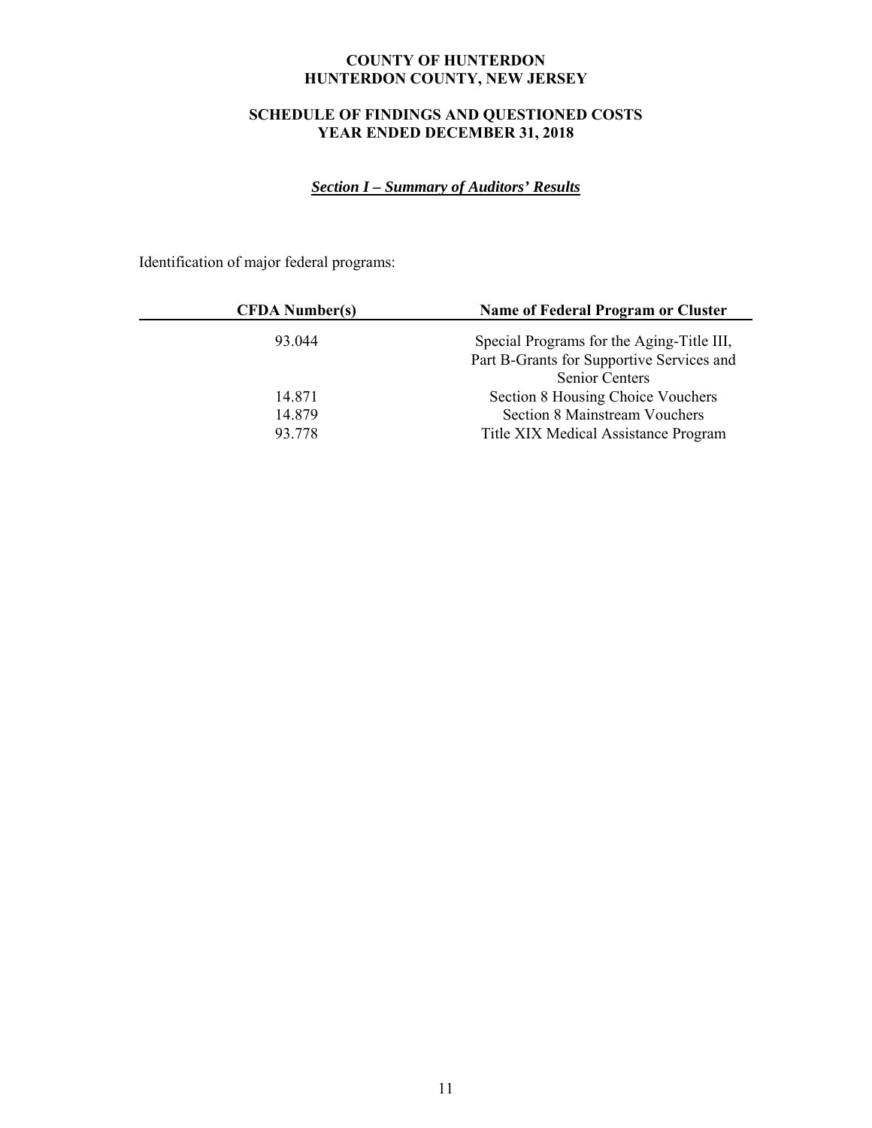# **SCHEDULE OF FINDINGS AND QUESTIONED COSTS YEAR ENDED DECEMBER 31, 2018**

# *Section I – Summary of Auditors' Results*

Identification of major federal programs:

| <b>CFDA</b> Number(s) | Name of Federal Program or Cluster        |
|-----------------------|-------------------------------------------|
| 93.044                | Special Programs for the Aging-Title III, |
|                       | Part B-Grants for Supportive Services and |
|                       | <b>Senior Centers</b>                     |
| 14.871                | Section 8 Housing Choice Vouchers         |
| 14.879                | <b>Section 8 Mainstream Vouchers</b>      |
| 93.778                | Title XIX Medical Assistance Program      |
|                       |                                           |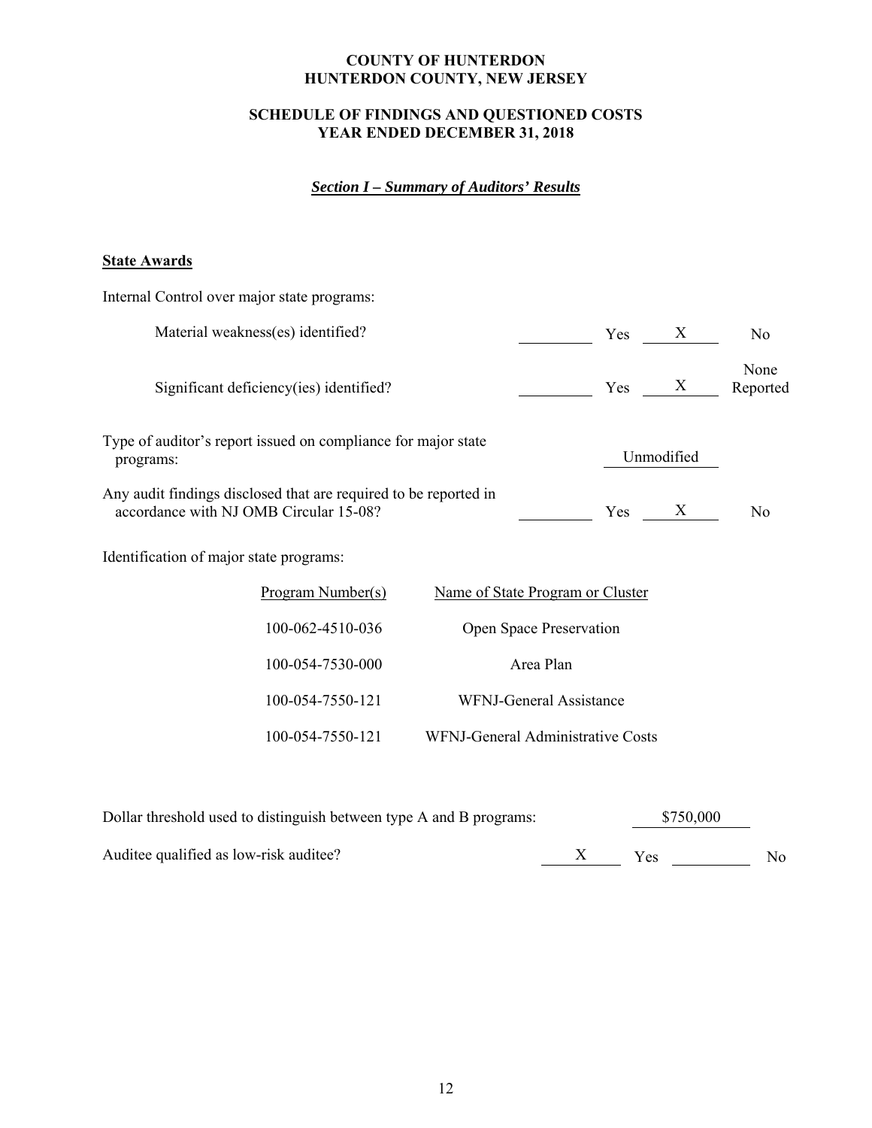# **SCHEDULE OF FINDINGS AND QUESTIONED COSTS YEAR ENDED DECEMBER 31, 2018**

# *Section I – Summary of Auditors' Results*

# **State Awards**

| Internal Control over major state programs:                                                                |                                   |                   |                  |
|------------------------------------------------------------------------------------------------------------|-----------------------------------|-------------------|------------------|
| Material weakness(es) identified?                                                                          | Yes                               | $X_{\mathcal{I}}$ | No               |
| Significant deficiency(ies) identified?                                                                    | Yes                               | X                 | None<br>Reported |
| Type of auditor's report issued on compliance for major state<br>programs:                                 |                                   | Unmodified        |                  |
| Any audit findings disclosed that are required to be reported in<br>accordance with NJ OMB Circular 15-08? | Yes                               | X                 | No               |
| Identification of major state programs:                                                                    |                                   |                   |                  |
| Program Number(s)                                                                                          | Name of State Program or Cluster  |                   |                  |
| 100-062-4510-036                                                                                           | Open Space Preservation           |                   |                  |
| 100-054-7530-000                                                                                           | Area Plan                         |                   |                  |
| 100-054-7550-121                                                                                           | <b>WFNJ-General Assistance</b>    |                   |                  |
| 100-054-7550-121                                                                                           | WFNJ-General Administrative Costs |                   |                  |
|                                                                                                            |                                   |                   |                  |

| Dollar threshold used to distinguish between type A and B programs: | \$750,000  |     |  |
|---------------------------------------------------------------------|------------|-----|--|
| Auditee qualified as low-risk auditee?                              | <b>Yes</b> | No. |  |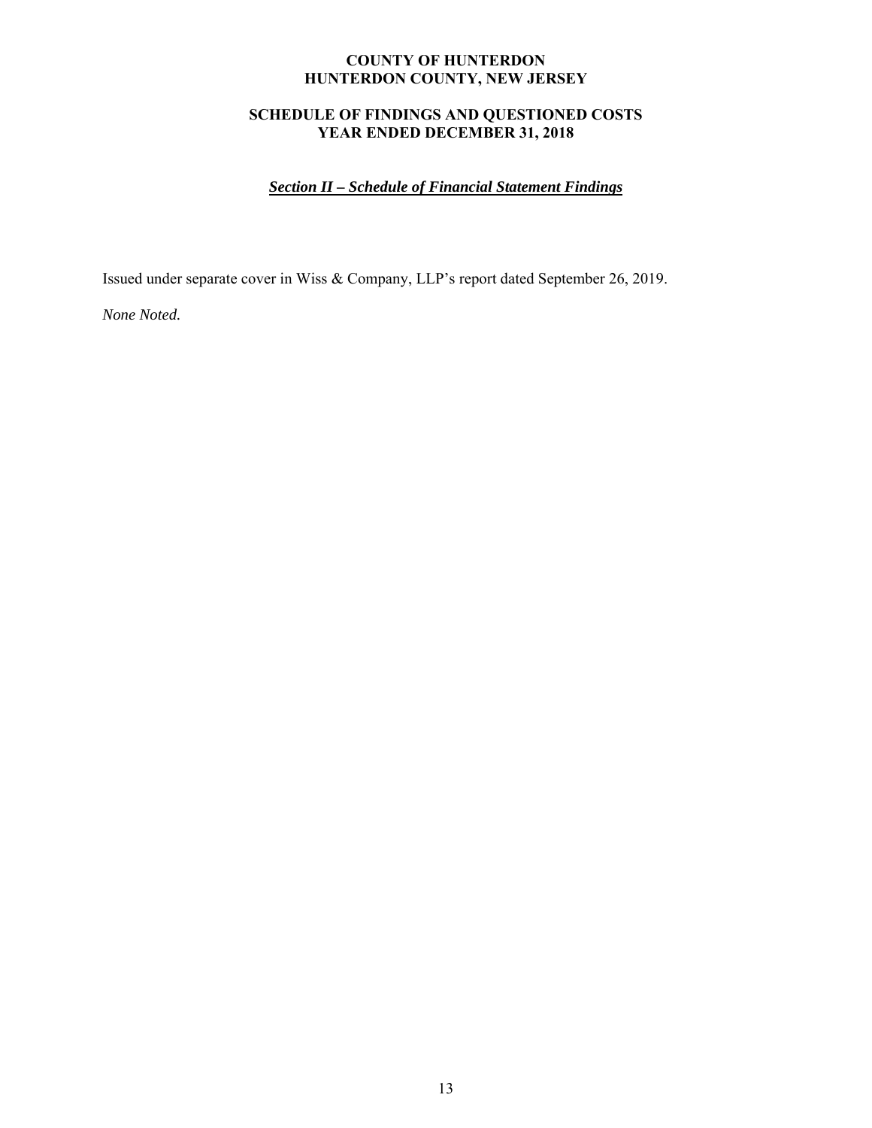# **SCHEDULE OF FINDINGS AND QUESTIONED COSTS YEAR ENDED DECEMBER 31, 2018**

# *Section II – Schedule of Financial Statement Findings*

Issued under separate cover in Wiss & Company, LLP's report dated September 26, 2019.

*None Noted.*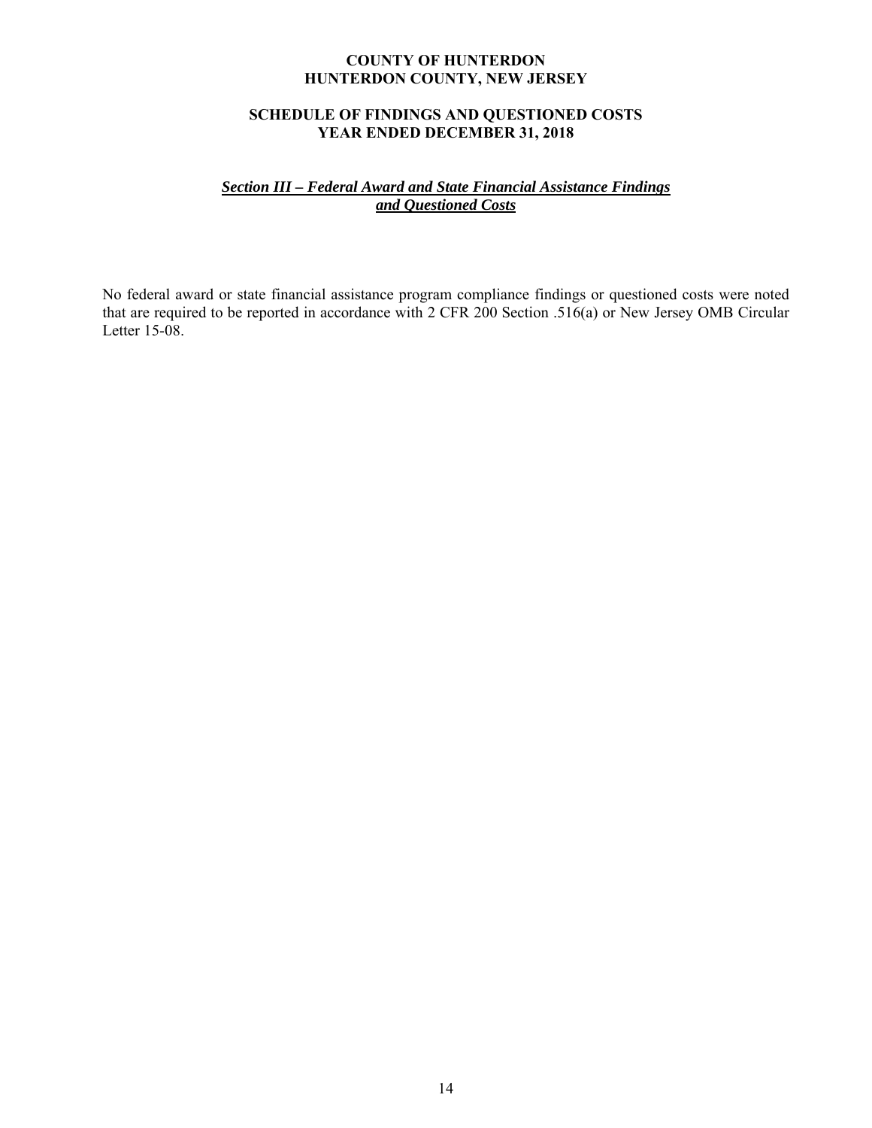## **SCHEDULE OF FINDINGS AND QUESTIONED COSTS YEAR ENDED DECEMBER 31, 2018**

## *Section III – Federal Award and State Financial Assistance Findings and Questioned Costs*

No federal award or state financial assistance program compliance findings or questioned costs were noted that are required to be reported in accordance with 2 CFR 200 Section .516(a) or New Jersey OMB Circular Letter 15-08.